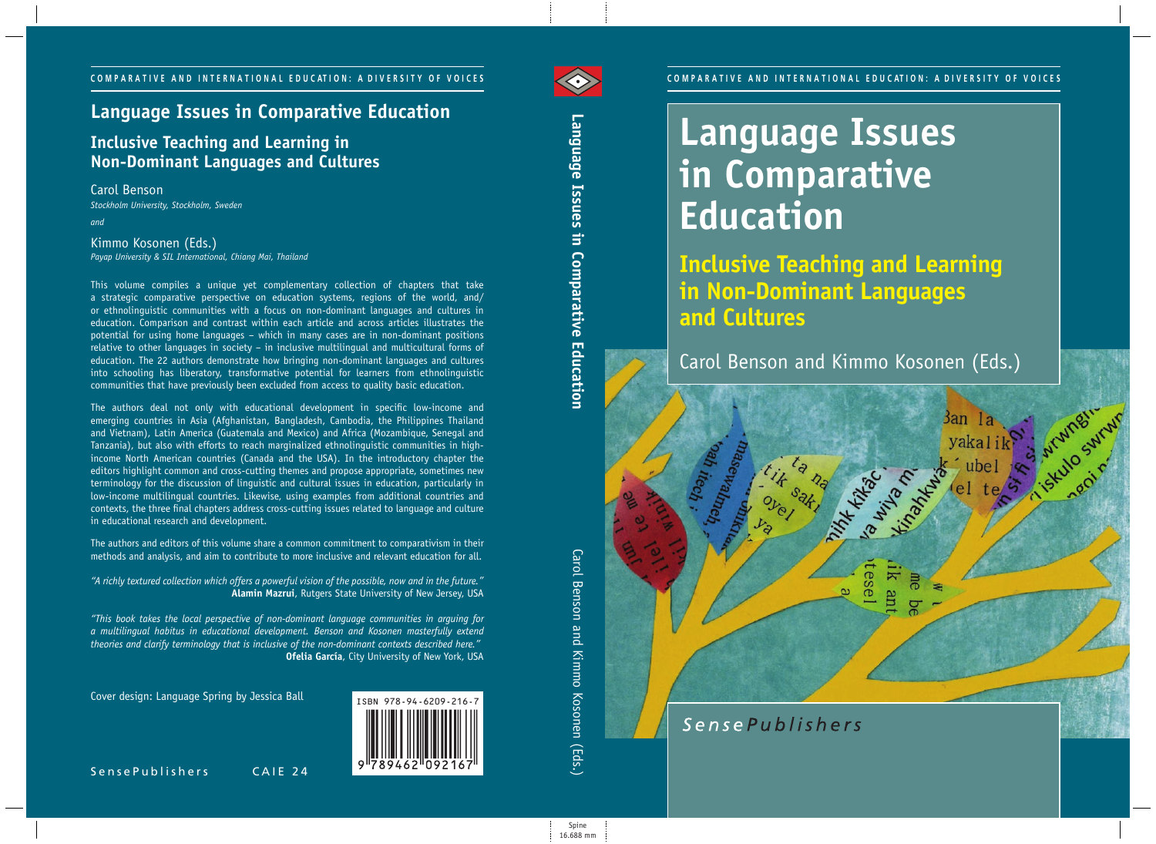**C O M P A R A T I V E A N D I N T E R N A T I O N A L E D U C AT I O N : A D I V E R S I T Y O F V O I C E S**

# **Language Issues in Comparative Education**

**Inclusive Teaching and Learning in Non-Dominant Languages and Cultures**

Carol Benson and Kimmo Kosonen (Eds.)

**Lese** 

 $\omega$ 

S. S. Skylnegu-W

3an la

All the Contract of the Contract of the Contract of the Contract of the Contract of the Contract of the Contract of the Contract of the Contract of the Contract of the Contract of the Contract of the Contract of the Contra

me

yakalik

 $|e|$  test

SensePublishers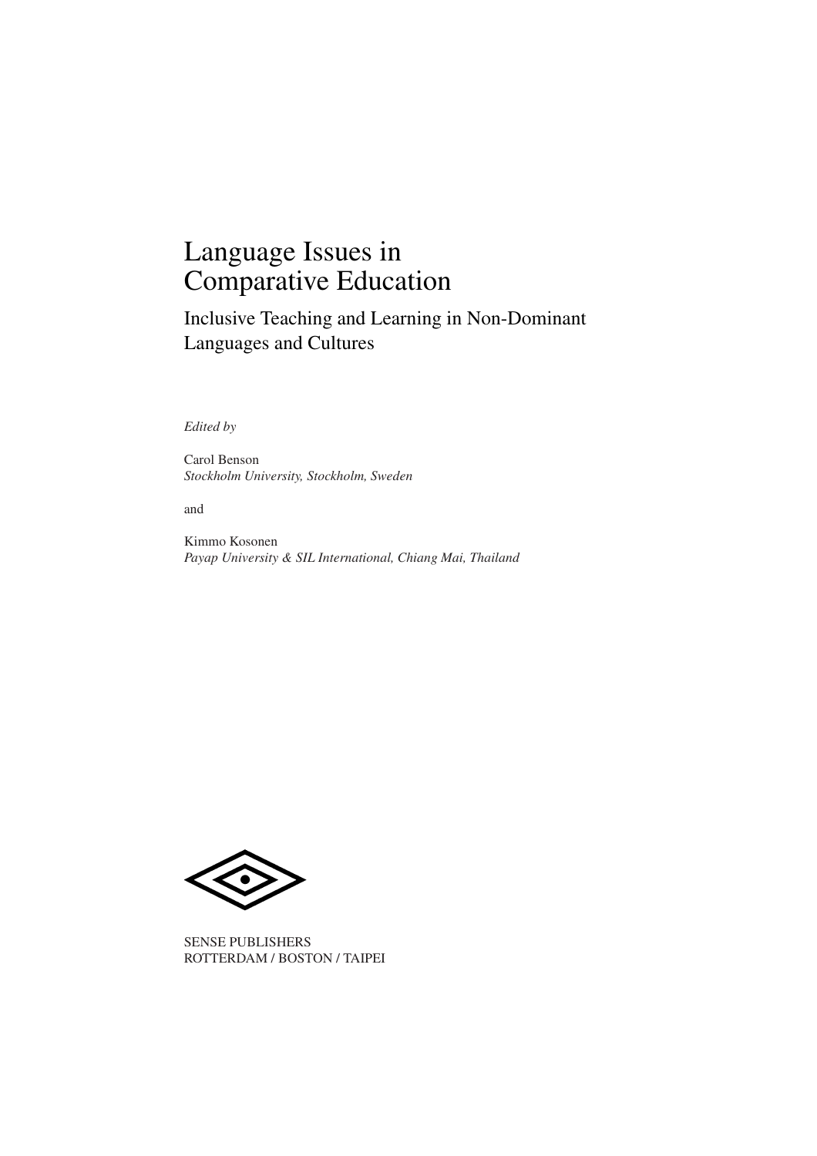# Language Issues in Comparative Education

# Inclusive Teaching and Learning in Non-Dominant Languages and Cultures

*Edited by*

Carol Benson *Stockholm University, Stockholm, Sweden*

and

Kimmo Kosonen *Payap University & SIL International, Chiang Mai, Thailand*



SENSE PUBLISHERS ROTTERDAM / BOSTON / TAIPEI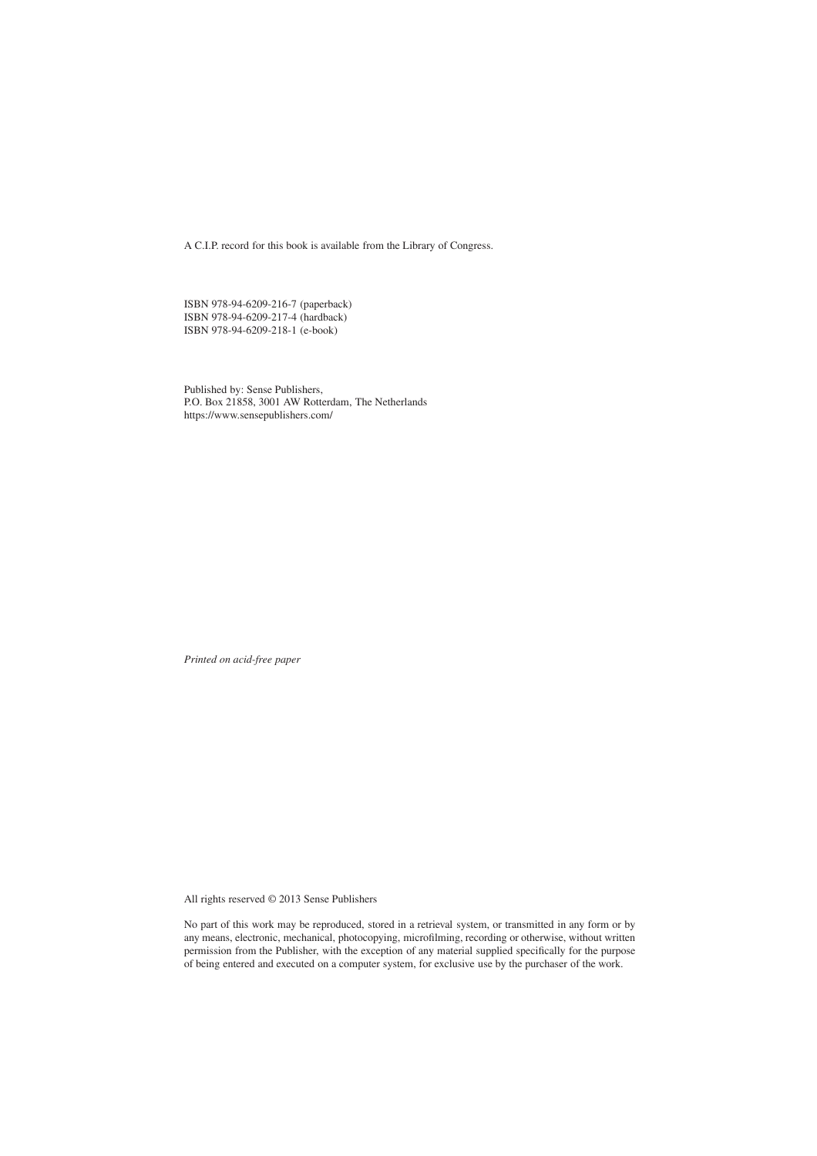A C.I.P. record for this book is available from the Library of Congress.

ISBN 978-94-6209-216-7 (paperback) ISBN 978-94-6209-217-4 (hardback) ISBN 978-94-6209-218-1 (e-book)

Published by: Sense Publishers, P.O. Box 21858, 3001 AW Rotterdam, The Netherlands https://www.sensepublishers.com/

*Printed on acid-free paper*

All rights reserved © 2013 Sense Publishers

No part of this work may be reproduced, stored in a retrieval system, or transmitted in any form or by any means, electronic, mechanical, photocopying, microfilming, recording or otherwise, without written permission from the Publisher, with the exception of any material supplied specifically for the purpose of being entered and executed on a computer system, for exclusive use by the purchaser of the work.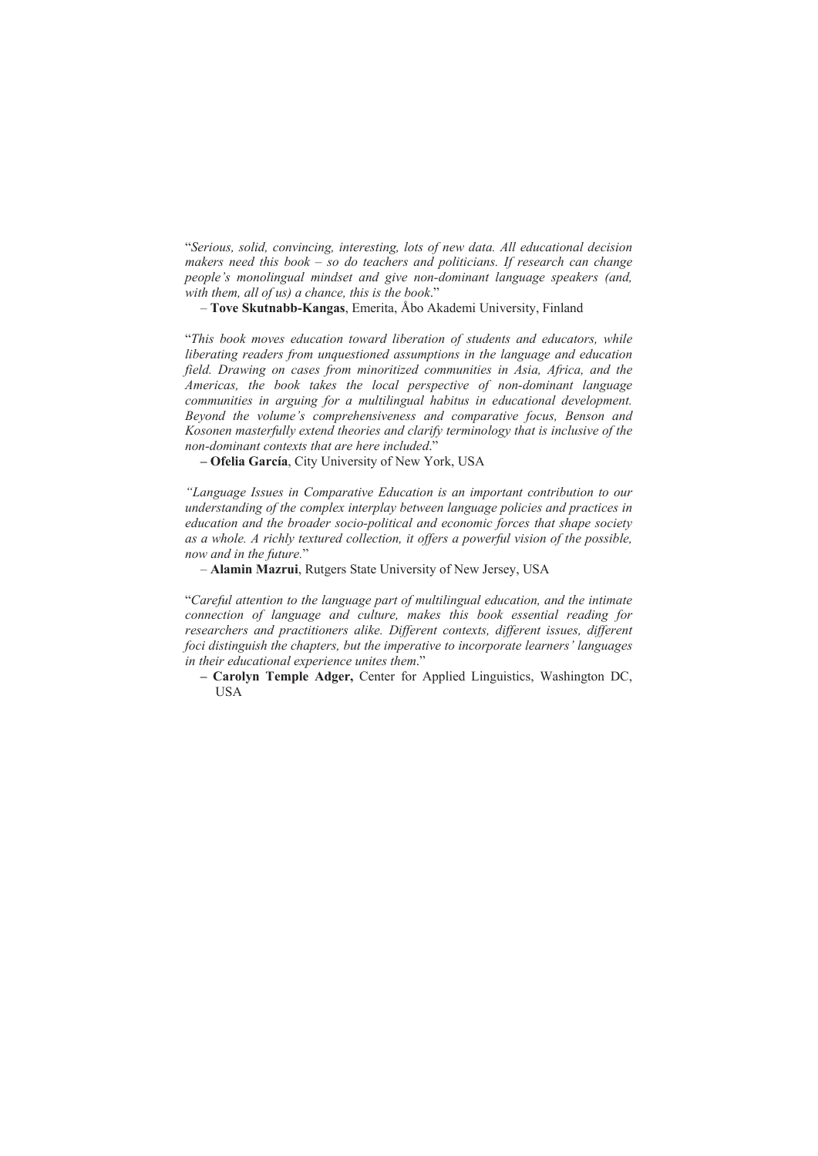"*Serious, solid, convincing, interesting, lots of new data. All educational decision makers need this book – so do teachers and politicians. If research can change people's monolingual mindset and give non-dominant language speakers (and, with them, all of us) a chance, this is the book*."

– **Tove Skutnabb-Kangas**, Emerita, Åbo Akademi University, Finland

"*This book moves education toward liberation of students and educators, while liberating readers from unquestioned assumptions in the language and education field. Drawing on cases from minoritized communities in Asia, Africa, and the Americas, the book takes the local perspective of non-dominant language communities in arguing for a multilingual habitus in educational development. Beyond the volume's comprehensiveness and comparative focus, Benson and Kosonen masterfully extend theories and clarify terminology that is inclusive of the non-dominant contexts that are here included*."

**– Ofelia García**, City University of New York, USA

*"Language Issues in Comparative Education is an important contribution to our understanding of the complex interplay between language policies and practices in education and the broader socio-political and economic forces that shape society as a whole. A richly textured collection, it offers a powerful vision of the possible, now and in the future.*"

– **Alamin Mazrui**, Rutgers State University of New Jersey, USA

"*Careful attention to the language part of multilingual education, and the intimate connection of language and culture, makes this book essential reading for researchers and practitioners alike. Different contexts, different issues, different foci distinguish the chapters, but the imperative to incorporate learners' languages in their educational experience unites them*."

**– Carolyn Temple Adger,** Center for Applied Linguistics, Washington DC, USA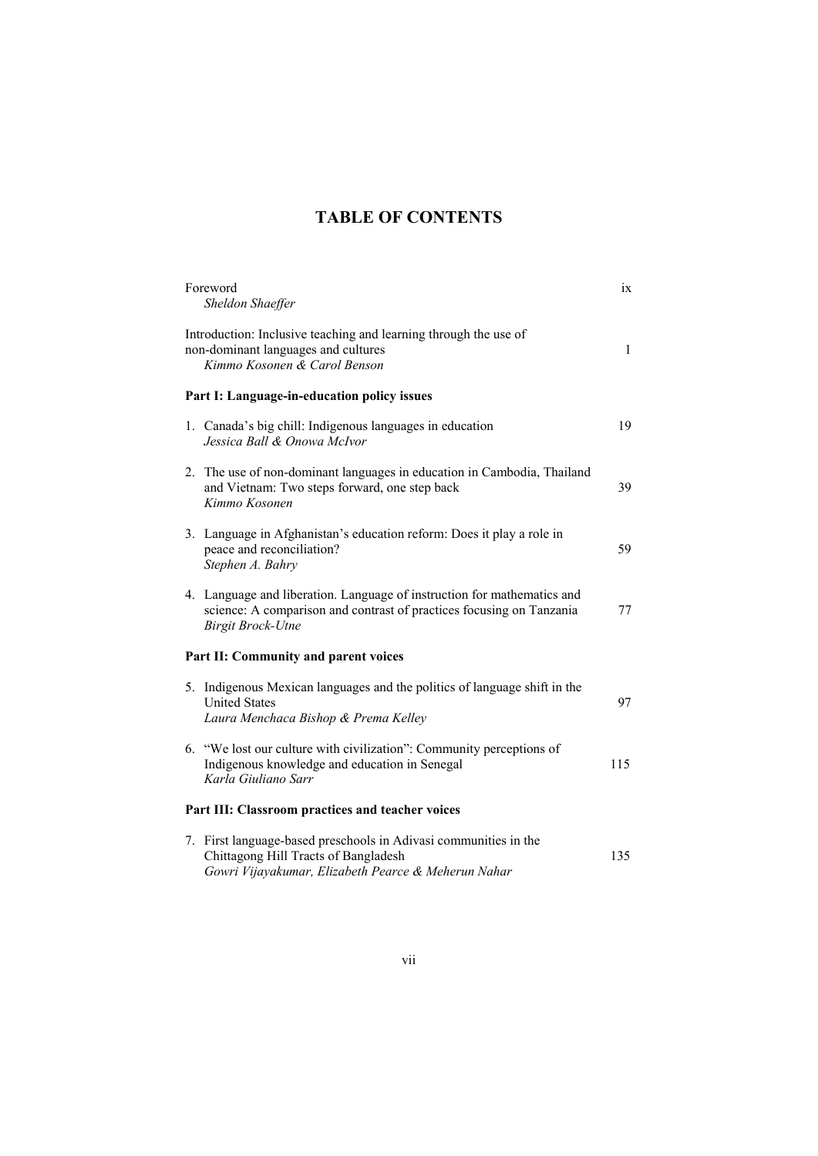## **TABLE OF CONTENTS**

| Foreword<br>Sheldon Shaeffer                                                                                                                                                | ix           |  |
|-----------------------------------------------------------------------------------------------------------------------------------------------------------------------------|--------------|--|
| Introduction: Inclusive teaching and learning through the use of<br>non-dominant languages and cultures<br>Kimmo Kosonen & Carol Benson                                     | $\mathbf{1}$ |  |
| Part I: Language-in-education policy issues                                                                                                                                 |              |  |
| 1. Canada's big chill: Indigenous languages in education<br>Jessica Ball & Onowa McIvor                                                                                     | 19           |  |
| 2. The use of non-dominant languages in education in Cambodia, Thailand<br>and Vietnam: Two steps forward, one step back<br>Kimmo Kosonen                                   | 39           |  |
| 3. Language in Afghanistan's education reform: Does it play a role in<br>peace and reconciliation?<br>Stephen A. Bahry                                                      | 59           |  |
| 4. Language and liberation. Language of instruction for mathematics and<br>science: A comparison and contrast of practices focusing on Tanzania<br><b>Birgit Brock-Utne</b> | 77           |  |
| Part II: Community and parent voices                                                                                                                                        |              |  |
| 5. Indigenous Mexican languages and the politics of language shift in the<br><b>United States</b><br>Laura Menchaca Bishop & Prema Kelley                                   | 97           |  |
| 6. "We lost our culture with civilization": Community perceptions of<br>Indigenous knowledge and education in Senegal<br>Karla Giuliano Sarr                                | 115          |  |
| Part III: Classroom practices and teacher voices                                                                                                                            |              |  |
| 7. First language-based preschools in Adivasi communities in the<br>Chittagong Hill Tracts of Bangladesh<br>Gowri Vijayakumar, Elizabeth Pearce & Meherun Nahar             | 135          |  |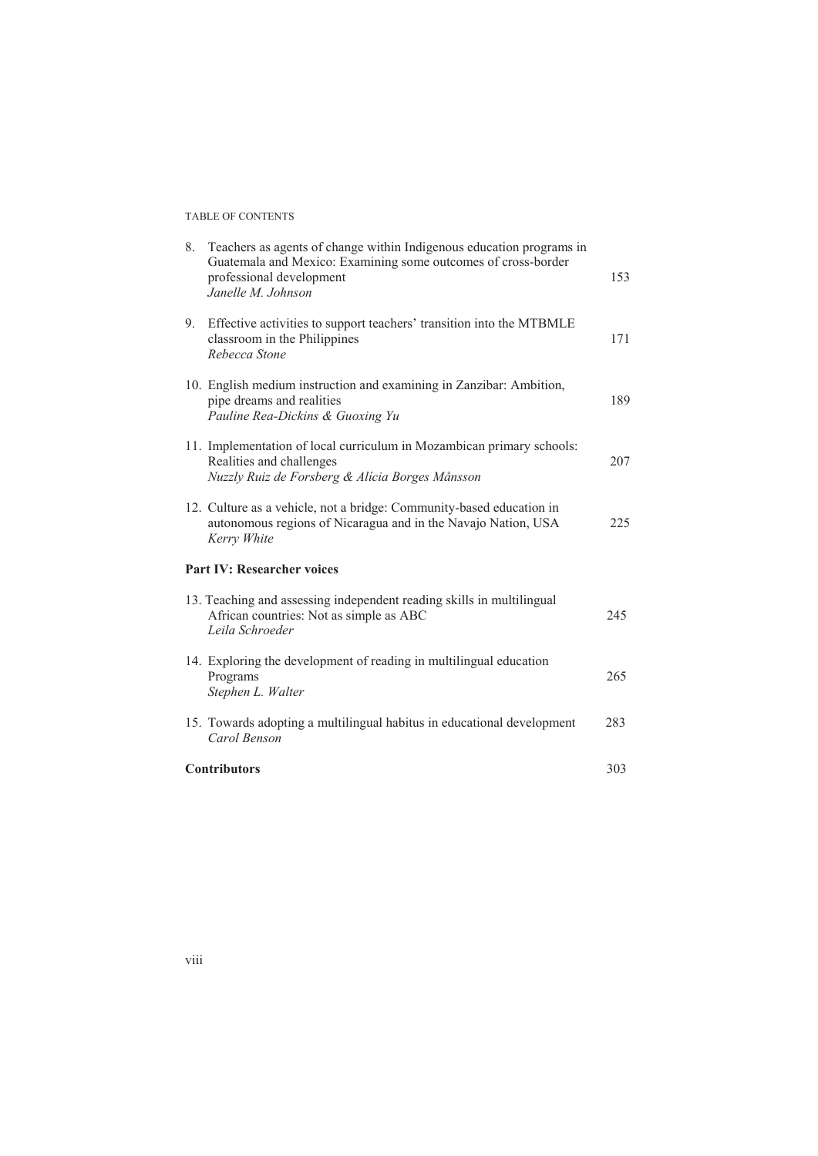#### TABLE OF CONTENTS

| 8. | Teachers as agents of change within Indigenous education programs in<br>Guatemala and Mexico: Examining some outcomes of cross-border<br>professional development<br>Janelle M. Johnson | 153 |
|----|-----------------------------------------------------------------------------------------------------------------------------------------------------------------------------------------|-----|
| 9. | Effective activities to support teachers' transition into the MTBMLE<br>classroom in the Philippines<br>Rebecca Stone                                                                   | 171 |
|    | 10. English medium instruction and examining in Zanzibar: Ambition,<br>pipe dreams and realities<br>Pauline Rea-Dickins & Guoxing Yu                                                    | 189 |
|    | 11. Implementation of local curriculum in Mozambican primary schools:<br>Realities and challenges<br>Nuzzly Ruiz de Forsberg & Alícia Borges Månsson                                    | 207 |
|    | 12. Culture as a vehicle, not a bridge: Community-based education in<br>autonomous regions of Nicaragua and in the Navajo Nation, USA<br>Kerry White                                    | 225 |
|    | <b>Part IV: Researcher voices</b>                                                                                                                                                       |     |
|    | 13. Teaching and assessing independent reading skills in multilingual<br>African countries: Not as simple as ABC<br>Leila Schroeder                                                     | 245 |
|    | 14. Exploring the development of reading in multilingual education<br>Programs<br>Stephen L. Walter                                                                                     | 265 |
|    | 15. Towards adopting a multilingual habitus in educational development<br>Carol Benson                                                                                                  | 283 |
|    | <b>Contributors</b>                                                                                                                                                                     | 303 |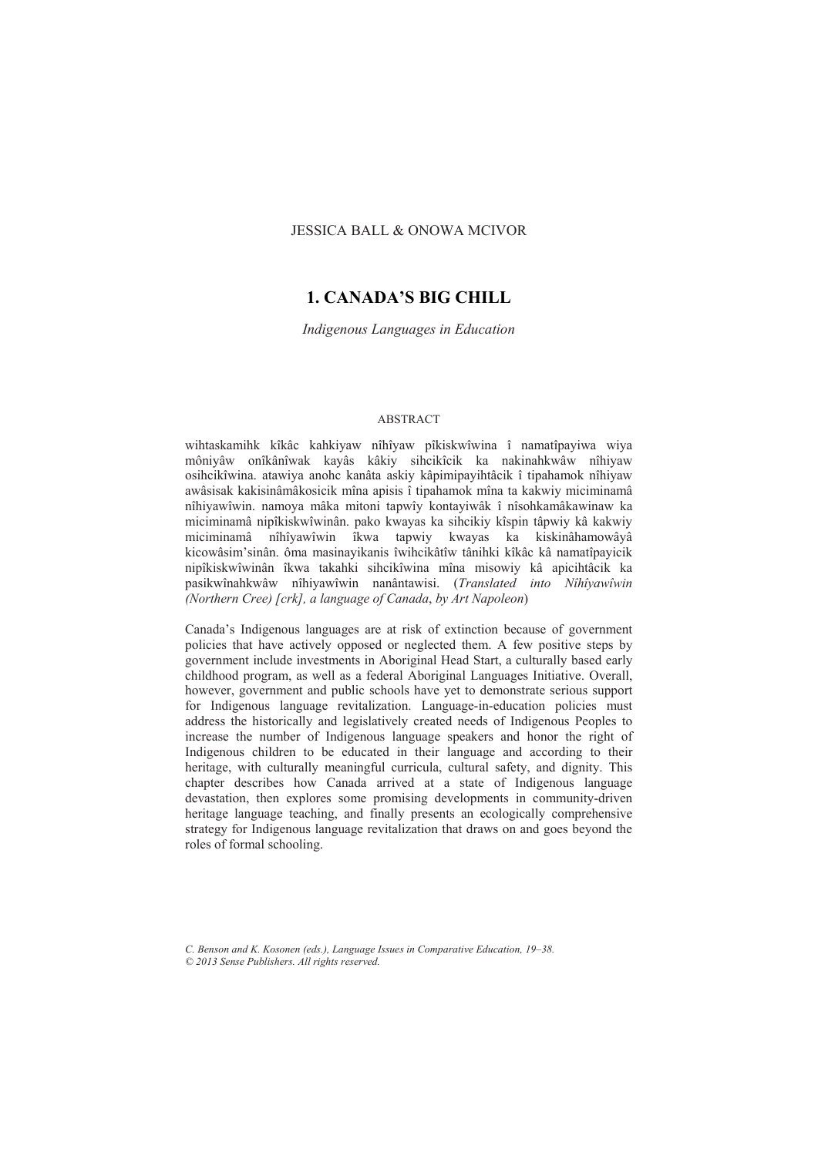#### JESSICA BALL & ONOWA MCIVOR

### **1. CANADA'S BIG CHILL**

*Indigenous Languages in Education* 

#### ABSTRACT

wihtaskamihk kîkâc kahkiyaw nîhîyaw pîkiskwîwina î namatîpayiwa wiya môniyâw onîkânîwak kayâs kâkiy sihcikîcik ka nakinahkwâw nîhiyaw osihcikîwina. atawiya anohc kanâta askiy kâpimipayihtâcik î tipahamok nîhiyaw awâsisak kakisinâmâkosicik mîna apisis î tipahamok mîna ta kakwiy miciminamâ nîhiyawîwin. namoya mâka mitoni tapwîy kontayiwâk î nîsohkamâkawinaw ka miciminamâ nipîkiskwîwinân. pako kwayas ka sihcikiy kîspin tâpwiy kâ kakwiy miciminamâ nîhîyawîwin îkwa tapwiy kwayas ka kiskinâhamowâyâ kicowâsim'sinân. ôma masinayikanis îwihcikâtîw tânihki kîkâc kâ namatîpayicik nipîkiskwîwinân îkwa takahki sihcikîwina mîna misowiy kâ apicihtâcik ka pasikwînahkwâw nîhiyawîwin nanântawisi. (*Translated into Nîhîyawîwin (Northern Cree) [crk], a language of Canada*, *by Art Napoleon*)

Canada's Indigenous languages are at risk of extinction because of government policies that have actively opposed or neglected them. A few positive steps by government include investments in Aboriginal Head Start, a culturally based early childhood program, as well as a federal Aboriginal Languages Initiative. Overall, however, government and public schools have yet to demonstrate serious support for Indigenous language revitalization. Language-in-education policies must address the historically and legislatively created needs of Indigenous Peoples to increase the number of Indigenous language speakers and honor the right of Indigenous children to be educated in their language and according to their heritage, with culturally meaningful curricula, cultural safety, and dignity. This chapter describes how Canada arrived at a state of Indigenous language devastation, then explores some promising developments in community-driven heritage language teaching, and finally presents an ecologically comprehensive strategy for Indigenous language revitalization that draws on and goes beyond the roles of formal schooling.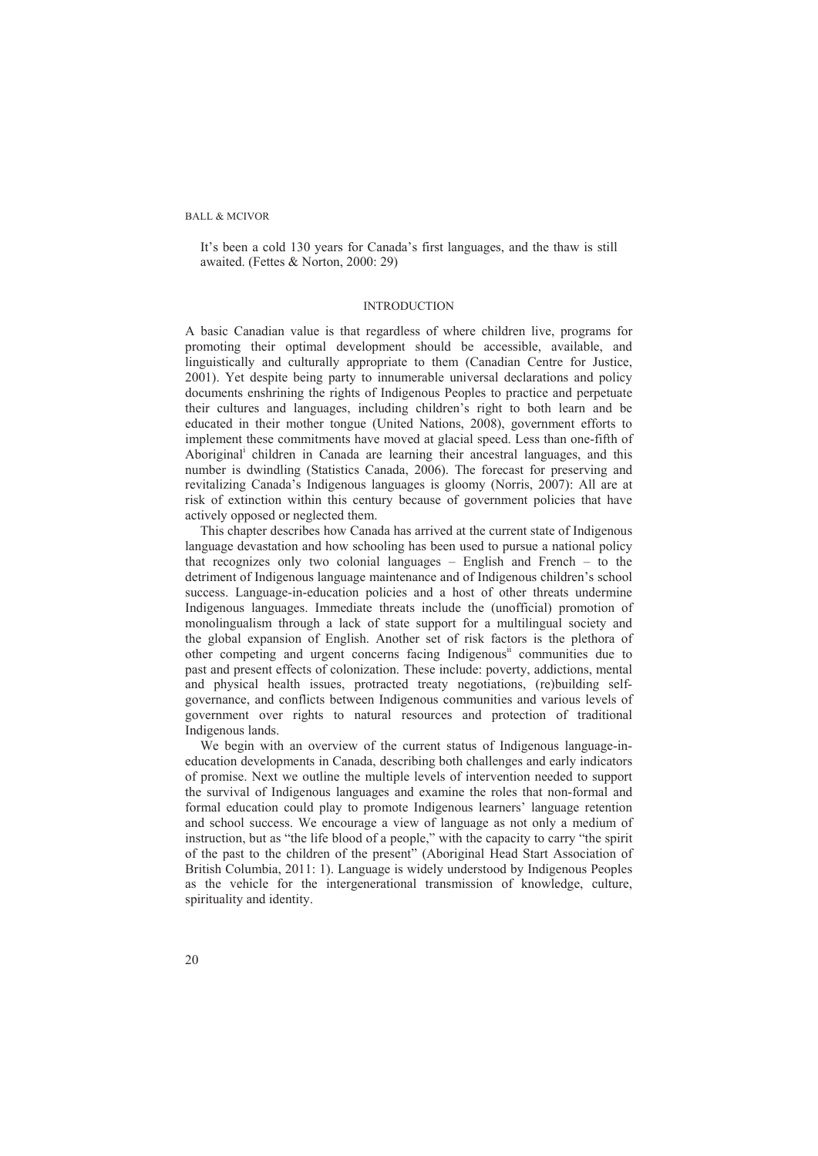It's been a cold 130 years for Canada's first languages, and the thaw is still awaited. (Fettes & Norton, 2000: 29)

#### INTRODUCTION

A basic Canadian value is that regardless of where children live, programs for promoting their optimal development should be accessible, available, and linguistically and culturally appropriate to them (Canadian Centre for Justice, 2001). Yet despite being party to innumerable universal declarations and policy documents enshrining the rights of Indigenous Peoples to practice and perpetuate their cultures and languages, including children's right to both learn and be educated in their mother tongue (United Nations, 2008), government efforts to implement these commitments have moved at glacial speed. Less than one-fifth of Aboriginal<sup>i</sup> children in Canada are learning their ancestral languages, and this number is dwindling (Statistics Canada, 2006). The forecast for preserving and revitalizing Canada's Indigenous languages is gloomy (Norris, 2007): All are at risk of extinction within this century because of government policies that have actively opposed or neglected them.

 This chapter describes how Canada has arrived at the current state of Indigenous language devastation and how schooling has been used to pursue a national policy that recognizes only two colonial languages – English and French – to the detriment of Indigenous language maintenance and of Indigenous children's school success. Language-in-education policies and a host of other threats undermine Indigenous languages. Immediate threats include the (unofficial) promotion of monolingualism through a lack of state support for a multilingual society and the global expansion of English. Another set of risk factors is the plethora of other competing and urgent concerns facing Indigenous<sup>ii</sup> communities due to past and present effects of colonization. These include: poverty, addictions, mental and physical health issues, protracted treaty negotiations, (re)building selfgovernance, and conflicts between Indigenous communities and various levels of government over rights to natural resources and protection of traditional Indigenous lands.

 We begin with an overview of the current status of Indigenous language-ineducation developments in Canada, describing both challenges and early indicators of promise. Next we outline the multiple levels of intervention needed to support the survival of Indigenous languages and examine the roles that non-formal and formal education could play to promote Indigenous learners' language retention and school success. We encourage a view of language as not only a medium of instruction, but as "the life blood of a people," with the capacity to carry "the spirit of the past to the children of the present" (Aboriginal Head Start Association of British Columbia, 2011: 1). Language is widely understood by Indigenous Peoples as the vehicle for the intergenerational transmission of knowledge, culture, spirituality and identity.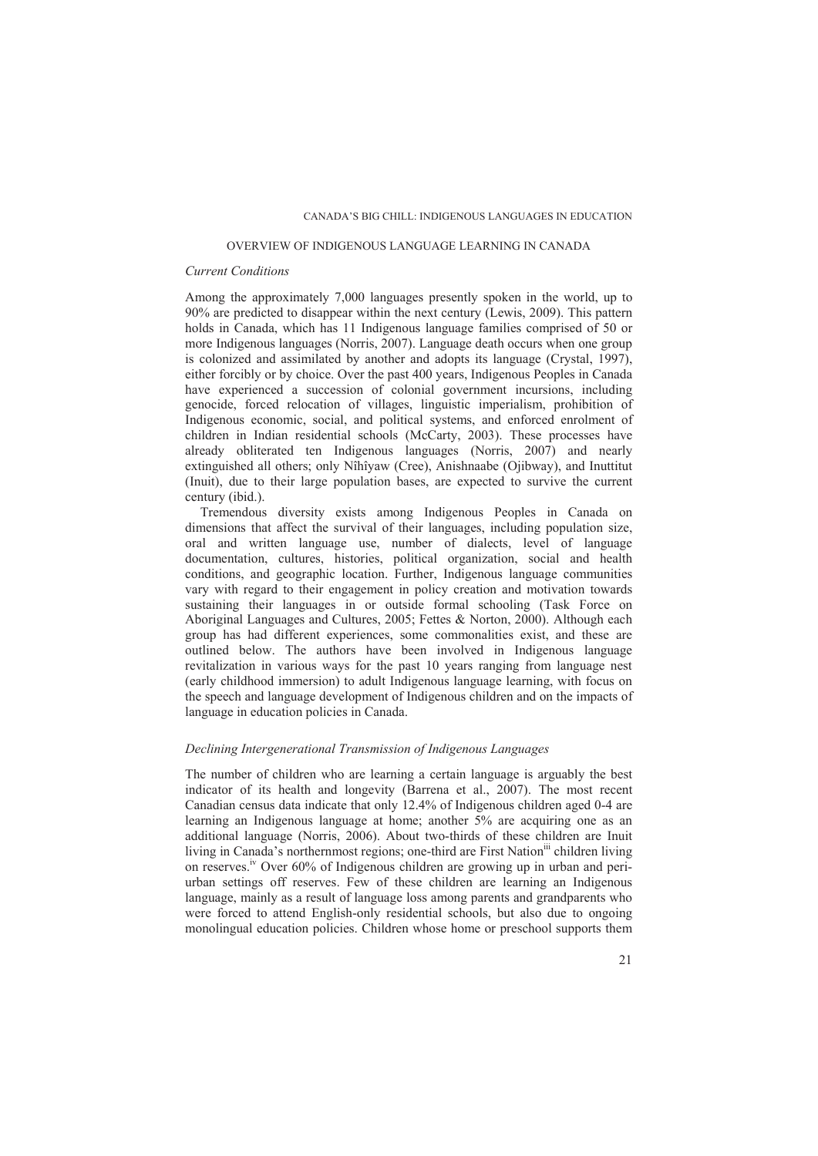#### OVERVIEW OF INDIGENOUS LANGUAGE LEARNING IN CANADA

#### *Current Conditions*

Among the approximately 7,000 languages presently spoken in the world, up to 90% are predicted to disappear within the next century (Lewis, 2009). This pattern holds in Canada, which has 11 Indigenous language families comprised of 50 or more Indigenous languages (Norris, 2007). Language death occurs when one group is colonized and assimilated by another and adopts its language (Crystal, 1997), either forcibly or by choice. Over the past 400 years, Indigenous Peoples in Canada have experienced a succession of colonial government incursions, including genocide, forced relocation of villages, linguistic imperialism, prohibition of Indigenous economic, social, and political systems, and enforced enrolment of children in Indian residential schools (McCarty, 2003). These processes have already obliterated ten Indigenous languages (Norris, 2007) and nearly extinguished all others; only Nîhîyaw (Cree), Anishnaabe (Ojibway), and Inuttitut (Inuit), due to their large population bases, are expected to survive the current century (ibid.).

 Tremendous diversity exists among Indigenous Peoples in Canada on dimensions that affect the survival of their languages, including population size, oral and written language use, number of dialects, level of language documentation, cultures, histories, political organization, social and health conditions, and geographic location. Further, Indigenous language communities vary with regard to their engagement in policy creation and motivation towards sustaining their languages in or outside formal schooling (Task Force on Aboriginal Languages and Cultures, 2005; Fettes & Norton, 2000). Although each group has had different experiences, some commonalities exist, and these are outlined below. The authors have been involved in Indigenous language revitalization in various ways for the past 10 years ranging from language nest (early childhood immersion) to adult Indigenous language learning, with focus on the speech and language development of Indigenous children and on the impacts of language in education policies in Canada.

#### *Declining Intergenerational Transmission of Indigenous Languages*

The number of children who are learning a certain language is arguably the best indicator of its health and longevity (Barrena et al., 2007). The most recent Canadian census data indicate that only 12.4% of Indigenous children aged 0-4 are learning an Indigenous language at home; another 5% are acquiring one as an additional language (Norris, 2006). About two-thirds of these children are Inuit living in Canada's northernmost regions; one-third are First Nation<sup>iii</sup> children living on reserves.<sup>iv</sup> Over 60% of Indigenous children are growing up in urban and periurban settings off reserves. Few of these children are learning an Indigenous language, mainly as a result of language loss among parents and grandparents who were forced to attend English-only residential schools, but also due to ongoing monolingual education policies. Children whose home or preschool supports them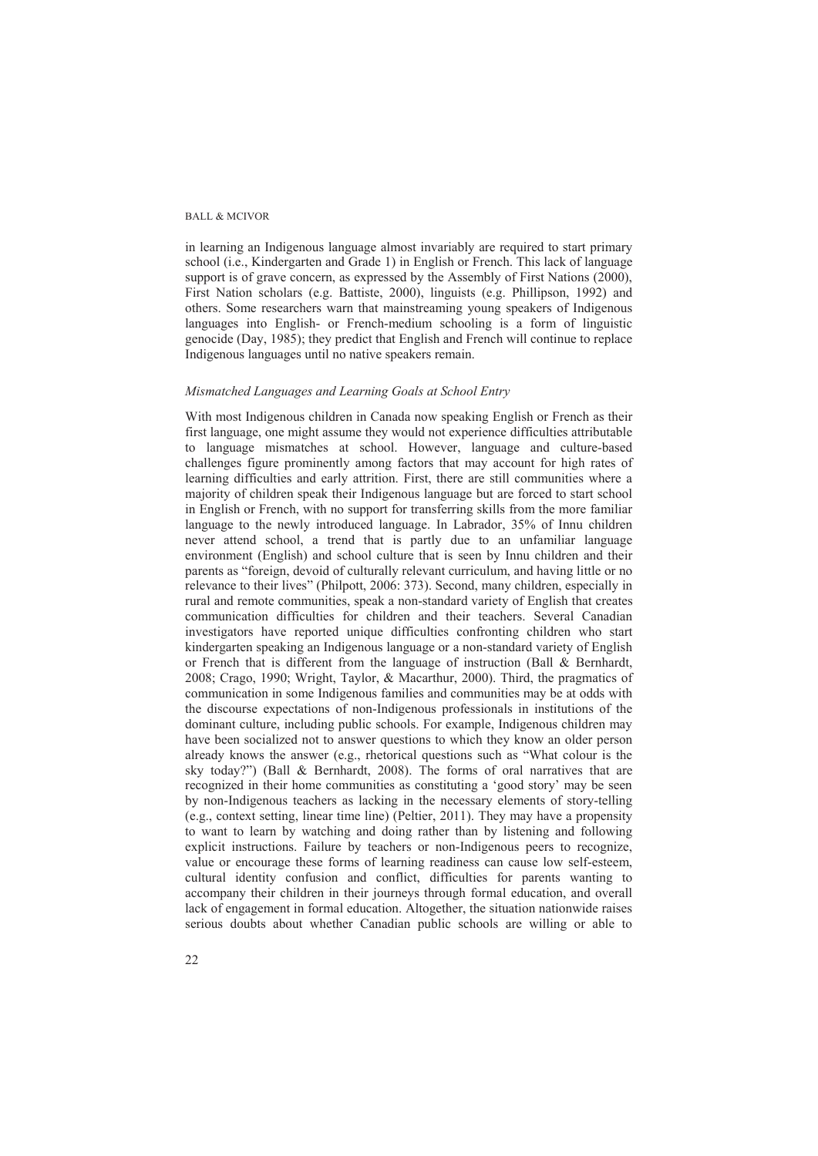in learning an Indigenous language almost invariably are required to start primary school (i.e., Kindergarten and Grade 1) in English or French. This lack of language support is of grave concern, as expressed by the Assembly of First Nations (2000), First Nation scholars (e.g. Battiste, 2000), linguists (e.g. Phillipson, 1992) and others. Some researchers warn that mainstreaming young speakers of Indigenous languages into English- or French-medium schooling is a form of linguistic genocide (Day, 1985); they predict that English and French will continue to replace Indigenous languages until no native speakers remain.

#### *Mismatched Languages and Learning Goals at School Entry*

With most Indigenous children in Canada now speaking English or French as their first language, one might assume they would not experience difficulties attributable to language mismatches at school. However, language and culture-based challenges figure prominently among factors that may account for high rates of learning difficulties and early attrition. First, there are still communities where a majority of children speak their Indigenous language but are forced to start school in English or French, with no support for transferring skills from the more familiar language to the newly introduced language. In Labrador, 35% of Innu children never attend school, a trend that is partly due to an unfamiliar language environment (English) and school culture that is seen by Innu children and their parents as "foreign, devoid of culturally relevant curriculum, and having little or no relevance to their lives" (Philpott, 2006: 373). Second, many children, especially in rural and remote communities, speak a non-standard variety of English that creates communication difficulties for children and their teachers. Several Canadian investigators have reported unique difficulties confronting children who start kindergarten speaking an Indigenous language or a non-standard variety of English or French that is different from the language of instruction (Ball & Bernhardt, 2008; Crago, 1990; Wright, Taylor, & Macarthur, 2000). Third, the pragmatics of communication in some Indigenous families and communities may be at odds with the discourse expectations of non-Indigenous professionals in institutions of the dominant culture, including public schools. For example, Indigenous children may have been socialized not to answer questions to which they know an older person already knows the answer (e.g., rhetorical questions such as "What colour is the sky today?") (Ball & Bernhardt, 2008). The forms of oral narratives that are recognized in their home communities as constituting a 'good story' may be seen by non-Indigenous teachers as lacking in the necessary elements of story-telling (e.g., context setting, linear time line) (Peltier, 2011). They may have a propensity to want to learn by watching and doing rather than by listening and following explicit instructions. Failure by teachers or non-Indigenous peers to recognize, value or encourage these forms of learning readiness can cause low self-esteem, cultural identity confusion and conflict, difficulties for parents wanting to accompany their children in their journeys through formal education, and overall lack of engagement in formal education. Altogether, the situation nationwide raises serious doubts about whether Canadian public schools are willing or able to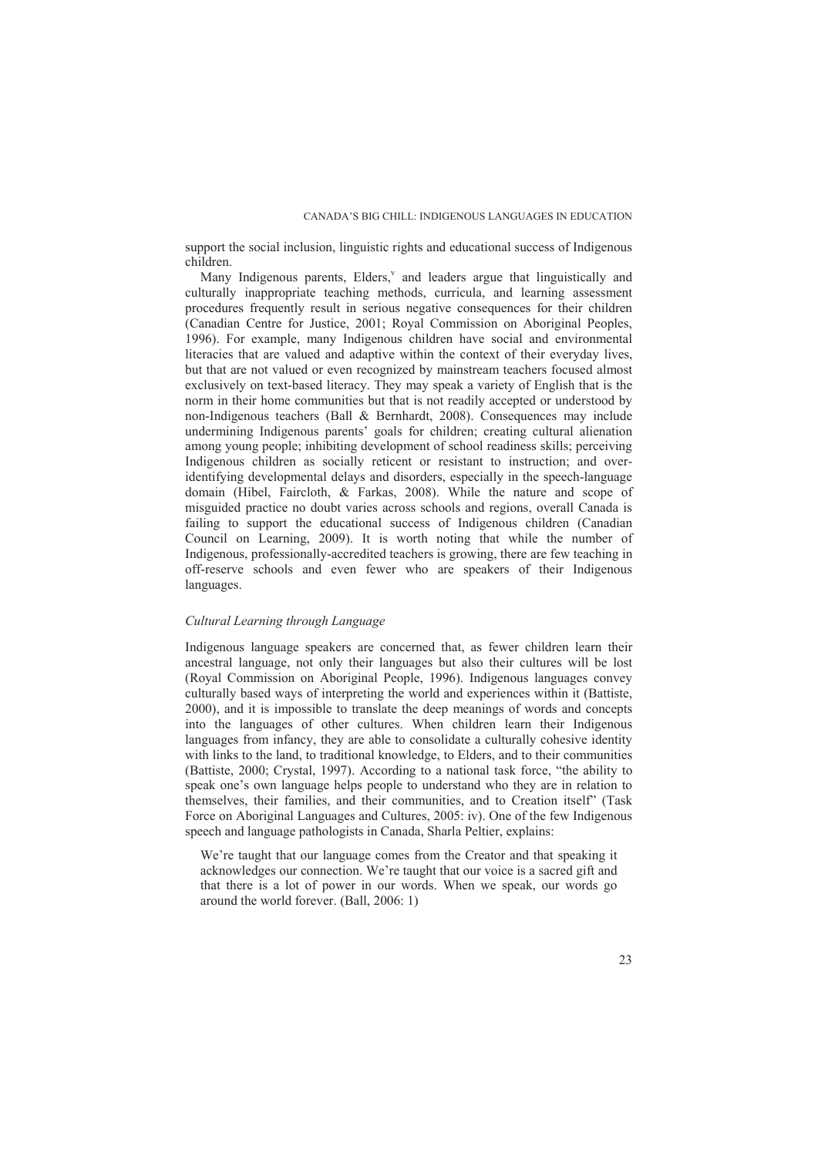support the social inclusion, linguistic rights and educational success of Indigenous children.

Many Indigenous parents, Elders,<sup>v</sup> and leaders argue that linguistically and culturally inappropriate teaching methods, curricula, and learning assessment procedures frequently result in serious negative consequences for their children (Canadian Centre for Justice, 2001; Royal Commission on Aboriginal Peoples, 1996). For example, many Indigenous children have social and environmental literacies that are valued and adaptive within the context of their everyday lives, but that are not valued or even recognized by mainstream teachers focused almost exclusively on text-based literacy. They may speak a variety of English that is the norm in their home communities but that is not readily accepted or understood by non-Indigenous teachers (Ball & Bernhardt, 2008). Consequences may include undermining Indigenous parents' goals for children; creating cultural alienation among young people; inhibiting development of school readiness skills; perceiving Indigenous children as socially reticent or resistant to instruction; and overidentifying developmental delays and disorders, especially in the speech-language domain (Hibel, Faircloth, & Farkas, 2008). While the nature and scope of misguided practice no doubt varies across schools and regions, overall Canada is failing to support the educational success of Indigenous children (Canadian Council on Learning, 2009). It is worth noting that while the number of Indigenous, professionally-accredited teachers is growing, there are few teaching in off-reserve schools and even fewer who are speakers of their Indigenous languages.

#### *Cultural Learning through Language*

Indigenous language speakers are concerned that, as fewer children learn their ancestral language, not only their languages but also their cultures will be lost (Royal Commission on Aboriginal People, 1996). Indigenous languages convey culturally based ways of interpreting the world and experiences within it (Battiste, 2000), and it is impossible to translate the deep meanings of words and concepts into the languages of other cultures. When children learn their Indigenous languages from infancy, they are able to consolidate a culturally cohesive identity with links to the land, to traditional knowledge, to Elders, and to their communities (Battiste, 2000; Crystal, 1997). According to a national task force, "the ability to speak one's own language helps people to understand who they are in relation to themselves, their families, and their communities, and to Creation itself" (Task Force on Aboriginal Languages and Cultures, 2005: iv). One of the few Indigenous speech and language pathologists in Canada, Sharla Peltier, explains:

We're taught that our language comes from the Creator and that speaking it acknowledges our connection. We're taught that our voice is a sacred gift and that there is a lot of power in our words. When we speak, our words go around the world forever. (Ball, 2006: 1)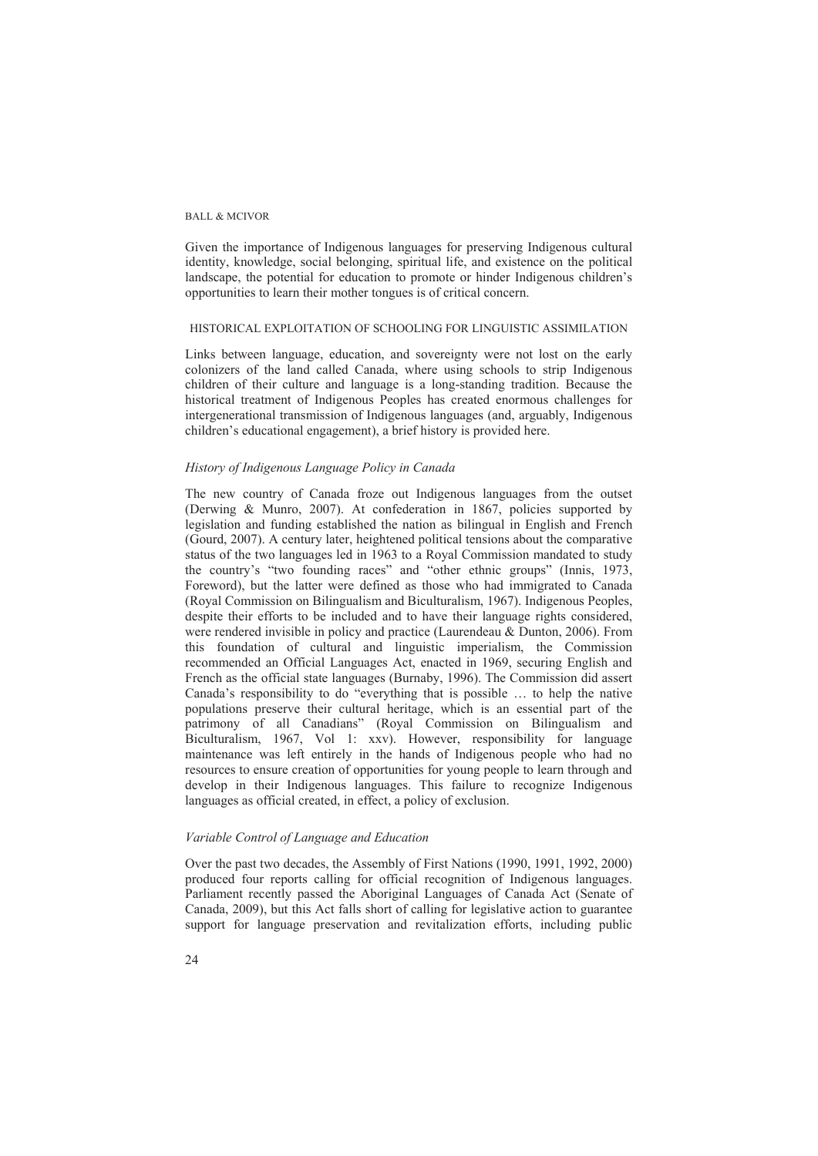Given the importance of Indigenous languages for preserving Indigenous cultural identity, knowledge, social belonging, spiritual life, and existence on the political landscape, the potential for education to promote or hinder Indigenous children's opportunities to learn their mother tongues is of critical concern.

#### HISTORICAL EXPLOITATION OF SCHOOLING FOR LINGUISTIC ASSIMILATION

Links between language, education, and sovereignty were not lost on the early colonizers of the land called Canada, where using schools to strip Indigenous children of their culture and language is a long-standing tradition. Because the historical treatment of Indigenous Peoples has created enormous challenges for intergenerational transmission of Indigenous languages (and, arguably, Indigenous children's educational engagement), a brief history is provided here.

#### *History of Indigenous Language Policy in Canada*

The new country of Canada froze out Indigenous languages from the outset (Derwing & Munro, 2007). At confederation in 1867, policies supported by legislation and funding established the nation as bilingual in English and French (Gourd, 2007). A century later, heightened political tensions about the comparative status of the two languages led in 1963 to a Royal Commission mandated to study the country's "two founding races" and "other ethnic groups" (Innis, 1973, Foreword), but the latter were defined as those who had immigrated to Canada (Royal Commission on Bilingualism and Biculturalism, 1967). Indigenous Peoples, despite their efforts to be included and to have their language rights considered, were rendered invisible in policy and practice (Laurendeau & Dunton, 2006). From this foundation of cultural and linguistic imperialism, the Commission recommended an Official Languages Act, enacted in 1969, securing English and French as the official state languages (Burnaby, 1996). The Commission did assert Canada's responsibility to do "everything that is possible … to help the native populations preserve their cultural heritage, which is an essential part of the patrimony of all Canadians" (Royal Commission on Bilingualism and Biculturalism, 1967, Vol 1: xxv). However, responsibility for language maintenance was left entirely in the hands of Indigenous people who had no resources to ensure creation of opportunities for young people to learn through and develop in their Indigenous languages. This failure to recognize Indigenous languages as official created, in effect, a policy of exclusion.

#### *Variable Control of Language and Education*

Over the past two decades, the Assembly of First Nations (1990, 1991, 1992, 2000) produced four reports calling for official recognition of Indigenous languages. Parliament recently passed the Aboriginal Languages of Canada Act (Senate of Canada, 2009), but this Act falls short of calling for legislative action to guarantee support for language preservation and revitalization efforts, including public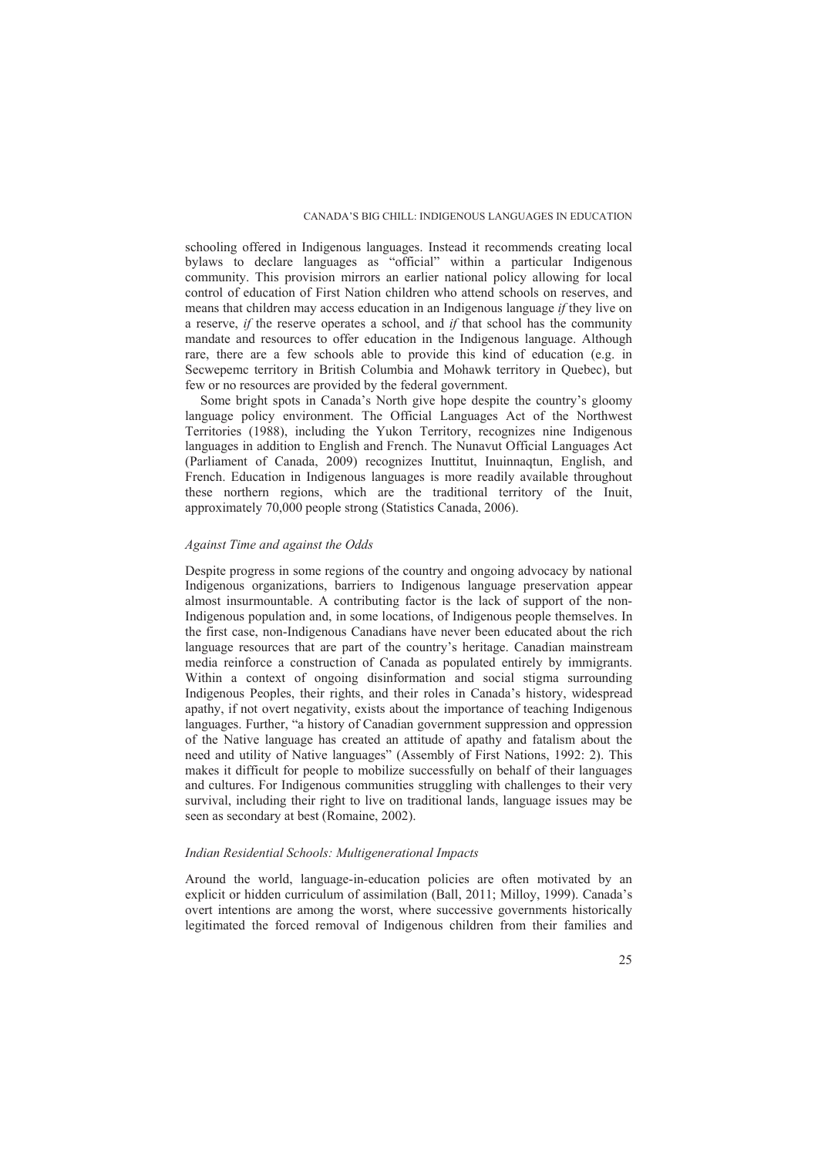schooling offered in Indigenous languages. Instead it recommends creating local bylaws to declare languages as "official" within a particular Indigenous community. This provision mirrors an earlier national policy allowing for local control of education of First Nation children who attend schools on reserves, and means that children may access education in an Indigenous language *if* they live on a reserve, *if* the reserve operates a school, and *if* that school has the community mandate and resources to offer education in the Indigenous language. Although rare, there are a few schools able to provide this kind of education (e.g. in Secwepemc territory in British Columbia and Mohawk territory in Quebec), but few or no resources are provided by the federal government.

 Some bright spots in Canada's North give hope despite the country's gloomy language policy environment. The Official Languages Act of the Northwest Territories (1988), including the Yukon Territory, recognizes nine Indigenous languages in addition to English and French. The Nunavut Official Languages Act (Parliament of Canada, 2009) recognizes Inuttitut, Inuinnaqtun, English, and French. Education in Indigenous languages is more readily available throughout these northern regions, which are the traditional territory of the Inuit, approximately 70,000 people strong (Statistics Canada, 2006).

#### *Against Time and against the Odds*

Despite progress in some regions of the country and ongoing advocacy by national Indigenous organizations, barriers to Indigenous language preservation appear almost insurmountable. A contributing factor is the lack of support of the non-Indigenous population and, in some locations, of Indigenous people themselves. In the first case, non-Indigenous Canadians have never been educated about the rich language resources that are part of the country's heritage. Canadian mainstream media reinforce a construction of Canada as populated entirely by immigrants. Within a context of ongoing disinformation and social stigma surrounding Indigenous Peoples, their rights, and their roles in Canada's history, widespread apathy, if not overt negativity, exists about the importance of teaching Indigenous languages. Further, "a history of Canadian government suppression and oppression of the Native language has created an attitude of apathy and fatalism about the need and utility of Native languages" (Assembly of First Nations, 1992: 2). This makes it difficult for people to mobilize successfully on behalf of their languages and cultures. For Indigenous communities struggling with challenges to their very survival, including their right to live on traditional lands, language issues may be seen as secondary at best (Romaine, 2002).

#### *Indian Residential Schools: Multigenerational Impacts*

Around the world, language-in-education policies are often motivated by an explicit or hidden curriculum of assimilation (Ball, 2011; Milloy, 1999). Canada's overt intentions are among the worst, where successive governments historically legitimated the forced removal of Indigenous children from their families and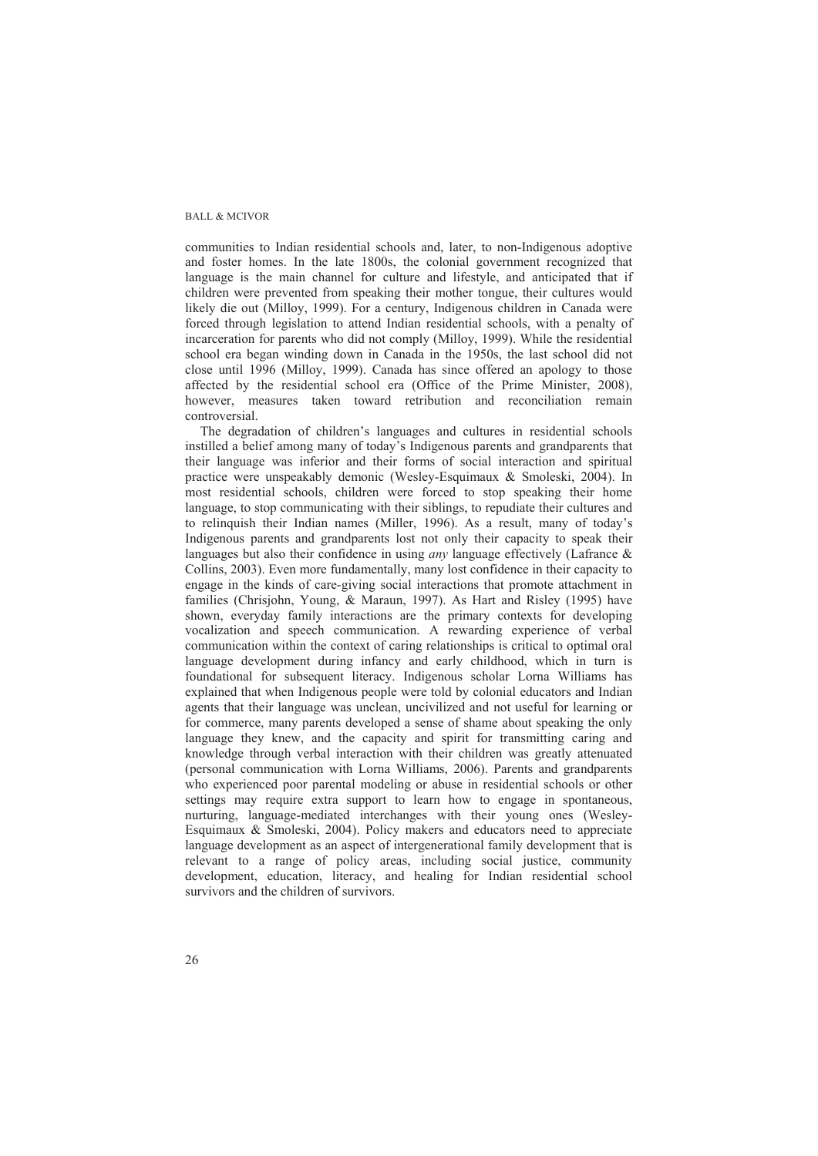communities to Indian residential schools and, later, to non-Indigenous adoptive and foster homes. In the late 1800s, the colonial government recognized that language is the main channel for culture and lifestyle, and anticipated that if children were prevented from speaking their mother tongue, their cultures would likely die out (Milloy, 1999). For a century, Indigenous children in Canada were forced through legislation to attend Indian residential schools, with a penalty of incarceration for parents who did not comply (Milloy, 1999). While the residential school era began winding down in Canada in the 1950s, the last school did not close until 1996 (Milloy, 1999). Canada has since offered an apology to those affected by the residential school era (Office of the Prime Minister, 2008), however, measures taken toward retribution and reconciliation remain controversial.

 The degradation of children's languages and cultures in residential schools instilled a belief among many of today's Indigenous parents and grandparents that their language was inferior and their forms of social interaction and spiritual practice were unspeakably demonic (Wesley-Esquimaux & Smoleski, 2004). In most residential schools, children were forced to stop speaking their home language, to stop communicating with their siblings, to repudiate their cultures and to relinquish their Indian names (Miller, 1996). As a result, many of today's Indigenous parents and grandparents lost not only their capacity to speak their languages but also their confidence in using *any* language effectively (Lafrance & Collins, 2003). Even more fundamentally, many lost confidence in their capacity to engage in the kinds of care-giving social interactions that promote attachment in families (Chrisjohn, Young, & Maraun, 1997). As Hart and Risley (1995) have shown, everyday family interactions are the primary contexts for developing vocalization and speech communication. A rewarding experience of verbal communication within the context of caring relationships is critical to optimal oral language development during infancy and early childhood, which in turn is foundational for subsequent literacy. Indigenous scholar Lorna Williams has explained that when Indigenous people were told by colonial educators and Indian agents that their language was unclean, uncivilized and not useful for learning or for commerce, many parents developed a sense of shame about speaking the only language they knew, and the capacity and spirit for transmitting caring and knowledge through verbal interaction with their children was greatly attenuated (personal communication with Lorna Williams, 2006). Parents and grandparents who experienced poor parental modeling or abuse in residential schools or other settings may require extra support to learn how to engage in spontaneous, nurturing, language-mediated interchanges with their young ones (Wesley-Esquimaux & Smoleski, 2004). Policy makers and educators need to appreciate language development as an aspect of intergenerational family development that is relevant to a range of policy areas, including social justice, community development, education, literacy, and healing for Indian residential school survivors and the children of survivors.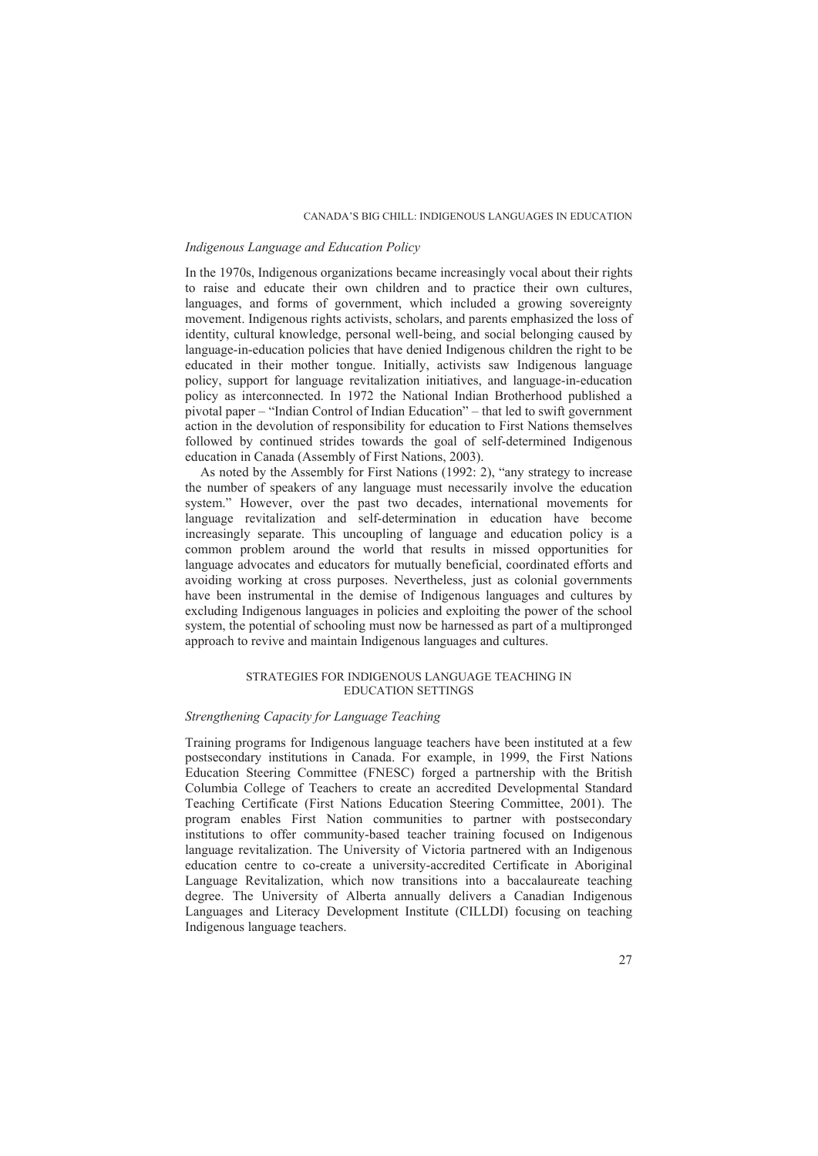#### *Indigenous Language and Education Policy*

In the 1970s, Indigenous organizations became increasingly vocal about their rights to raise and educate their own children and to practice their own cultures, languages, and forms of government, which included a growing sovereignty movement. Indigenous rights activists, scholars, and parents emphasized the loss of identity, cultural knowledge, personal well-being, and social belonging caused by language-in-education policies that have denied Indigenous children the right to be educated in their mother tongue. Initially, activists saw Indigenous language policy, support for language revitalization initiatives, and language-in-education policy as interconnected. In 1972 the National Indian Brotherhood published a pivotal paper – "Indian Control of Indian Education" – that led to swift government action in the devolution of responsibility for education to First Nations themselves followed by continued strides towards the goal of self-determined Indigenous education in Canada (Assembly of First Nations, 2003).

 As noted by the Assembly for First Nations (1992: 2), "any strategy to increase the number of speakers of any language must necessarily involve the education system." However, over the past two decades, international movements for language revitalization and self-determination in education have become increasingly separate. This uncoupling of language and education policy is a common problem around the world that results in missed opportunities for language advocates and educators for mutually beneficial, coordinated efforts and avoiding working at cross purposes. Nevertheless, just as colonial governments have been instrumental in the demise of Indigenous languages and cultures by excluding Indigenous languages in policies and exploiting the power of the school system, the potential of schooling must now be harnessed as part of a multipronged approach to revive and maintain Indigenous languages and cultures.

#### STRATEGIES FOR INDIGENOUS LANGUAGE TEACHING IN EDUCATION SETTINGS

#### *Strengthening Capacity for Language Teaching*

Training programs for Indigenous language teachers have been instituted at a few postsecondary institutions in Canada. For example, in 1999, the First Nations Education Steering Committee (FNESC) forged a partnership with the British Columbia College of Teachers to create an accredited Developmental Standard Teaching Certificate (First Nations Education Steering Committee, 2001). The program enables First Nation communities to partner with postsecondary institutions to offer community-based teacher training focused on Indigenous language revitalization. The University of Victoria partnered with an Indigenous education centre to co-create a university-accredited Certificate in Aboriginal Language Revitalization, which now transitions into a baccalaureate teaching degree. The University of Alberta annually delivers a Canadian Indigenous Languages and Literacy Development Institute (CILLDI) focusing on teaching Indigenous language teachers.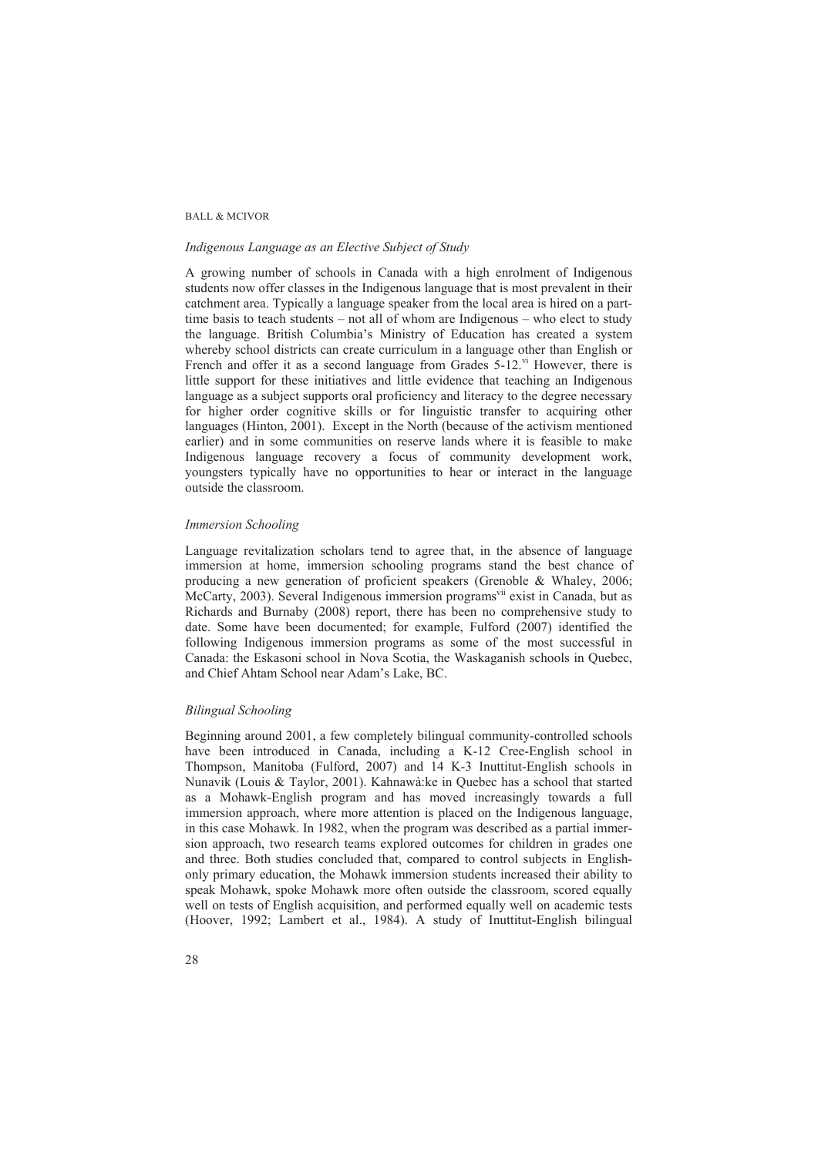#### *Indigenous Language as an Elective Subject of Study*

A growing number of schools in Canada with a high enrolment of Indigenous students now offer classes in the Indigenous language that is most prevalent in their catchment area. Typically a language speaker from the local area is hired on a parttime basis to teach students – not all of whom are Indigenous – who elect to study the language. British Columbia's Ministry of Education has created a system whereby school districts can create curriculum in a language other than English or French and offer it as a second language from Grades  $5-12$ .<sup>vi</sup> However, there is little support for these initiatives and little evidence that teaching an Indigenous language as a subject supports oral proficiency and literacy to the degree necessary for higher order cognitive skills or for linguistic transfer to acquiring other languages (Hinton, 2001). Except in the North (because of the activism mentioned earlier) and in some communities on reserve lands where it is feasible to make Indigenous language recovery a focus of community development work, youngsters typically have no opportunities to hear or interact in the language outside the classroom.

#### *Immersion Schooling*

Language revitalization scholars tend to agree that, in the absence of language immersion at home, immersion schooling programs stand the best chance of producing a new generation of proficient speakers (Grenoble & Whaley, 2006; McCarty, 2003). Several Indigenous immersion programs<sup>vii</sup> exist in Canada, but as Richards and Burnaby (2008) report, there has been no comprehensive study to date. Some have been documented; for example, Fulford (2007) identified the following Indigenous immersion programs as some of the most successful in Canada: the Eskasoni school in Nova Scotia, the Waskaganish schools in Quebec, and Chief Ahtam School near Adam's Lake, BC.

#### *Bilingual Schooling*

Beginning around 2001, a few completely bilingual community-controlled schools have been introduced in Canada, including a K-12 Cree-English school in Thompson, Manitoba (Fulford, 2007) and 14 K-3 Inuttitut-English schools in Nunavik (Louis & Taylor, 2001). Kahnawà:ke in Quebec has a school that started as a Mohawk-English program and has moved increasingly towards a full immersion approach, where more attention is placed on the Indigenous language, in this case Mohawk. In 1982, when the program was described as a partial immersion approach, two research teams explored outcomes for children in grades one and three. Both studies concluded that, compared to control subjects in Englishonly primary education, the Mohawk immersion students increased their ability to speak Mohawk, spoke Mohawk more often outside the classroom, scored equally well on tests of English acquisition, and performed equally well on academic tests (Hoover, 1992; Lambert et al., 1984). A study of Inuttitut-English bilingual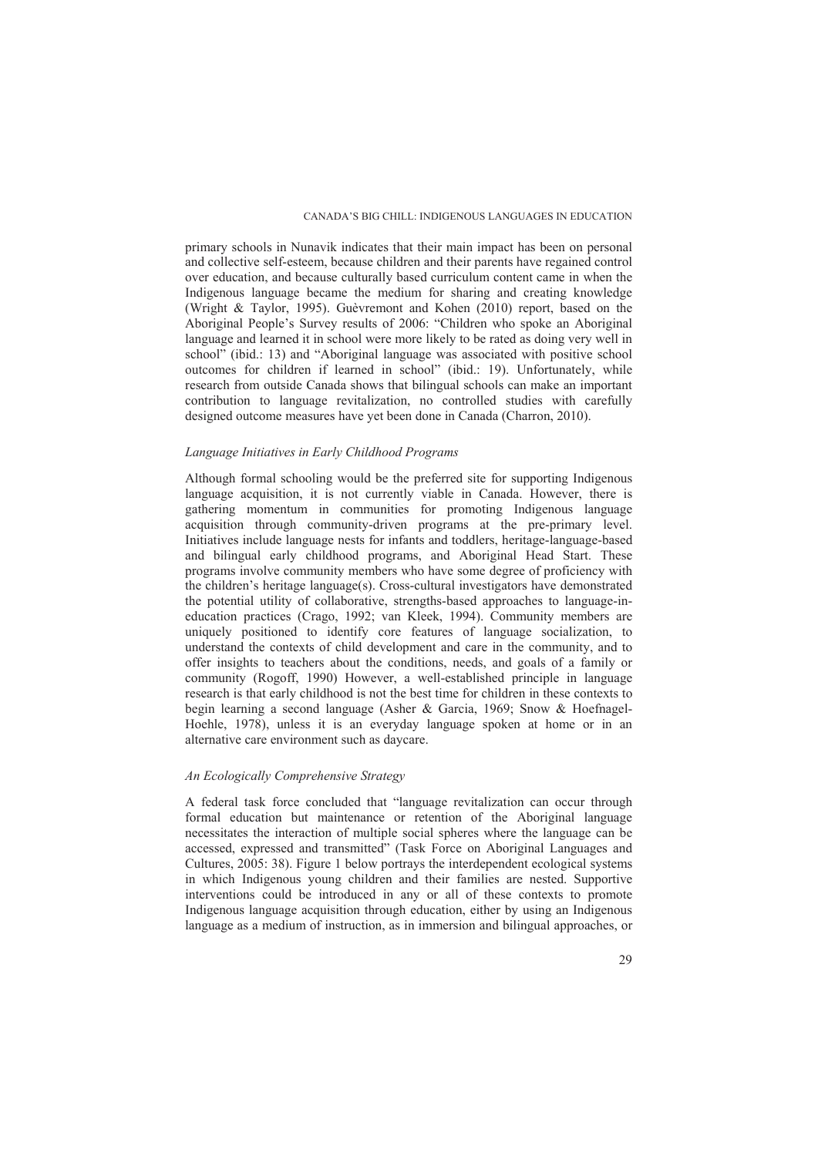#### CANADA'S BIG CHILL: INDIGENOUS LANGUAGES IN EDUCATION

primary schools in Nunavik indicates that their main impact has been on personal and collective self-esteem, because children and their parents have regained control over education, and because culturally based curriculum content came in when the Indigenous language became the medium for sharing and creating knowledge (Wright & Taylor, 1995). Guèvremont and Kohen (2010) report, based on the Aboriginal People's Survey results of 2006: "Children who spoke an Aboriginal language and learned it in school were more likely to be rated as doing very well in school" (ibid.: 13) and "Aboriginal language was associated with positive school outcomes for children if learned in school" (ibid.: 19). Unfortunately, while research from outside Canada shows that bilingual schools can make an important contribution to language revitalization, no controlled studies with carefully designed outcome measures have yet been done in Canada (Charron, 2010).

#### *Language Initiatives in Early Childhood Programs*

Although formal schooling would be the preferred site for supporting Indigenous language acquisition, it is not currently viable in Canada. However, there is gathering momentum in communities for promoting Indigenous language acquisition through community-driven programs at the pre-primary level. Initiatives include language nests for infants and toddlers, heritage-language-based and bilingual early childhood programs, and Aboriginal Head Start. These programs involve community members who have some degree of proficiency with the children's heritage language(s). Cross-cultural investigators have demonstrated the potential utility of collaborative, strengths-based approaches to language-ineducation practices (Crago, 1992; van Kleek, 1994). Community members are uniquely positioned to identify core features of language socialization, to understand the contexts of child development and care in the community, and to offer insights to teachers about the conditions, needs, and goals of a family or community (Rogoff, 1990) However, a well-established principle in language research is that early childhood is not the best time for children in these contexts to begin learning a second language (Asher & Garcia, 1969; Snow & Hoefnagel-Hoehle, 1978), unless it is an everyday language spoken at home or in an alternative care environment such as daycare.

#### *An Ecologically Comprehensive Strategy*

A federal task force concluded that "language revitalization can occur through formal education but maintenance or retention of the Aboriginal language necessitates the interaction of multiple social spheres where the language can be accessed, expressed and transmitted" (Task Force on Aboriginal Languages and Cultures, 2005: 38). Figure 1 below portrays the interdependent ecological systems in which Indigenous young children and their families are nested. Supportive interventions could be introduced in any or all of these contexts to promote Indigenous language acquisition through education, either by using an Indigenous language as a medium of instruction, as in immersion and bilingual approaches, or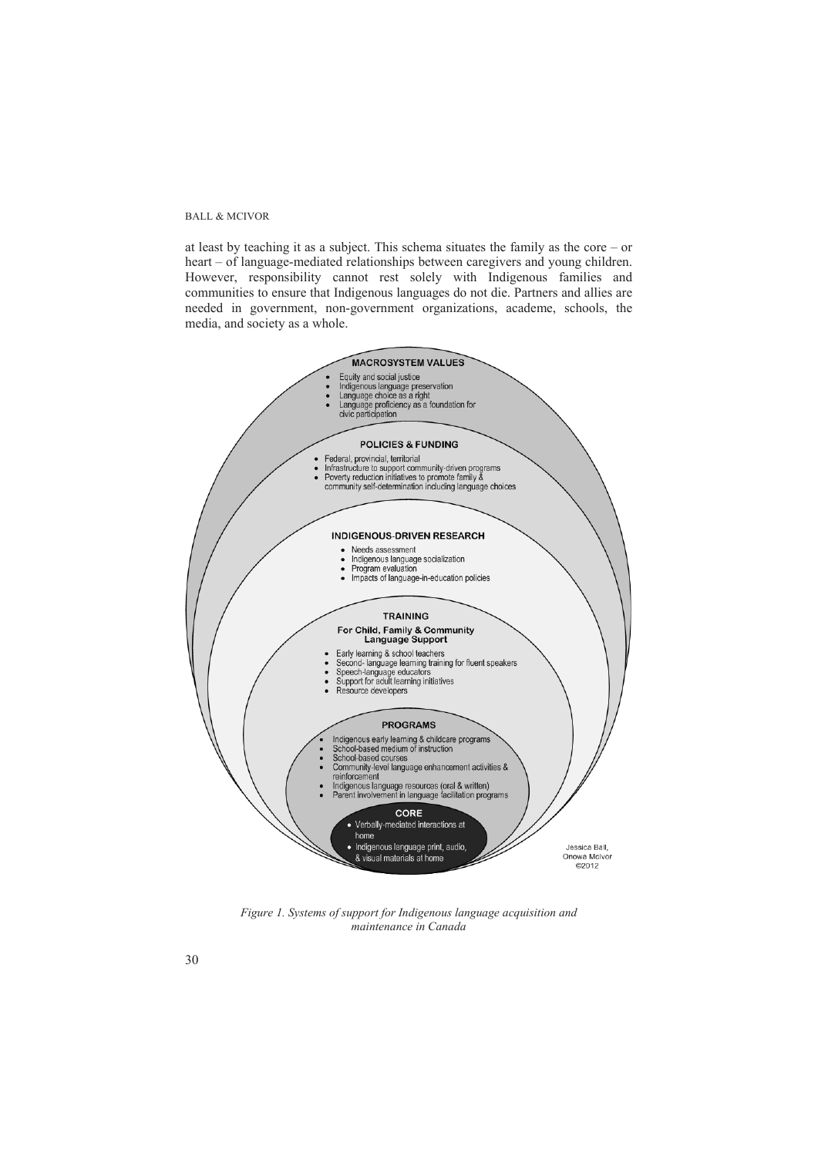at least by teaching it as a subject. This schema situates the family as the core – or heart – of language-mediated relationships between caregivers and young children. However, responsibility cannot rest solely with Indigenous families and communities to ensure that Indigenous languages do not die. Partners and allies are needed in government, non-government organizations, academe, schools, the media, and society as a whole.



*Figure 1. Systems of support for Indigenous language acquisition and maintenance in Canada*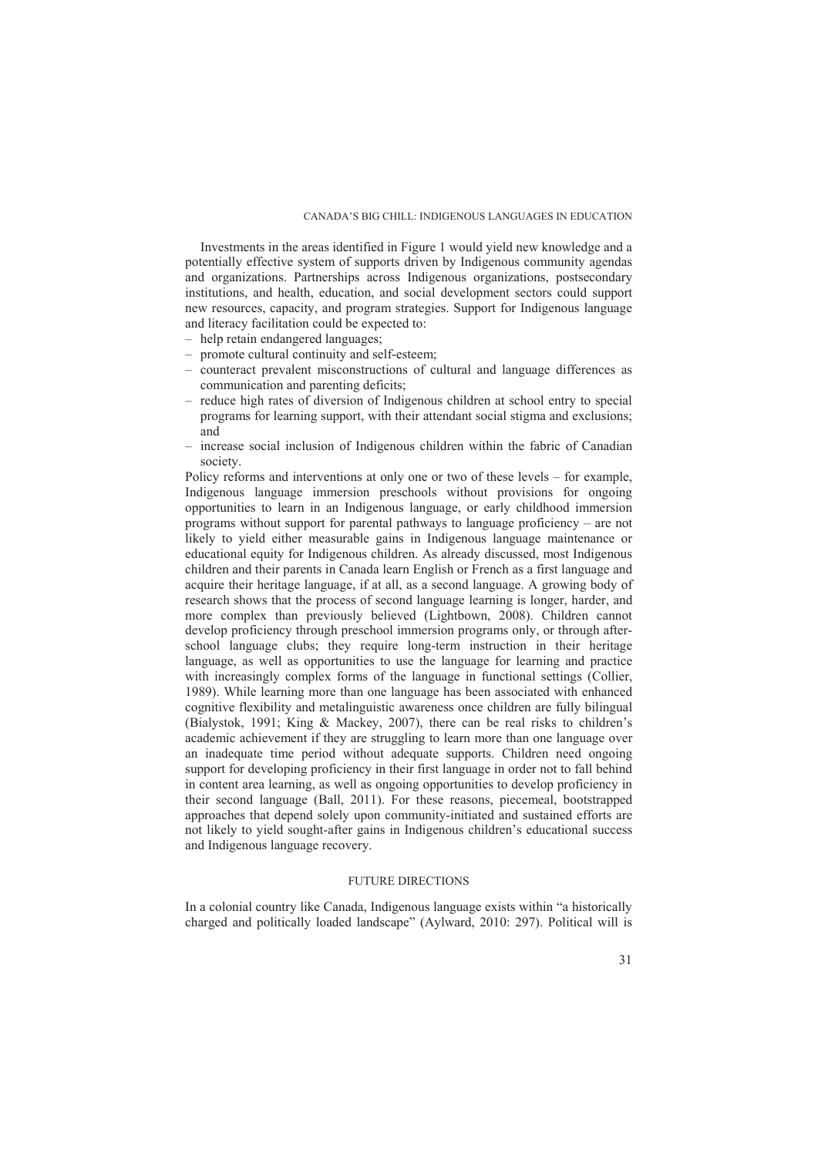#### CANADA'S BIG CHILL: INDIGENOUS LANGUAGES IN EDUCATION

 Investments in the areas identified in Figure 1 would yield new knowledge and a potentially effective system of supports driven by Indigenous community agendas and organizations. Partnerships across Indigenous organizations, postsecondary institutions, and health, education, and social development sectors could support new resources, capacity, and program strategies. Support for Indigenous language and literacy facilitation could be expected to:

- help retain endangered languages;
- promote cultural continuity and self-esteem;
- counteract prevalent misconstructions of cultural and language differences as communication and parenting deficits;
- reduce high rates of diversion of Indigenous children at school entry to special programs for learning support, with their attendant social stigma and exclusions; and
- increase social inclusion of Indigenous children within the fabric of Canadian society.

Policy reforms and interventions at only one or two of these levels – for example, Indigenous language immersion preschools without provisions for ongoing opportunities to learn in an Indigenous language, or early childhood immersion programs without support for parental pathways to language proficiency – are not likely to yield either measurable gains in Indigenous language maintenance or educational equity for Indigenous children. As already discussed, most Indigenous children and their parents in Canada learn English or French as a first language and acquire their heritage language, if at all, as a second language. A growing body of research shows that the process of second language learning is longer, harder, and more complex than previously believed (Lightbown, 2008). Children cannot develop proficiency through preschool immersion programs only, or through afterschool language clubs; they require long-term instruction in their heritage language, as well as opportunities to use the language for learning and practice with increasingly complex forms of the language in functional settings (Collier, 1989). While learning more than one language has been associated with enhanced cognitive flexibility and metalinguistic awareness once children are fully bilingual (Bialystok, 1991; King & Mackey, 2007), there can be real risks to children's academic achievement if they are struggling to learn more than one language over an inadequate time period without adequate supports. Children need ongoing support for developing proficiency in their first language in order not to fall behind in content area learning, as well as ongoing opportunities to develop proficiency in their second language (Ball, 2011). For these reasons, piecemeal, bootstrapped approaches that depend solely upon community-initiated and sustained efforts are not likely to yield sought-after gains in Indigenous children's educational success and Indigenous language recovery.

#### FUTURE DIRECTIONS

In a colonial country like Canada, Indigenous language exists within "a historically charged and politically loaded landscape" (Aylward, 2010: 297). Political will is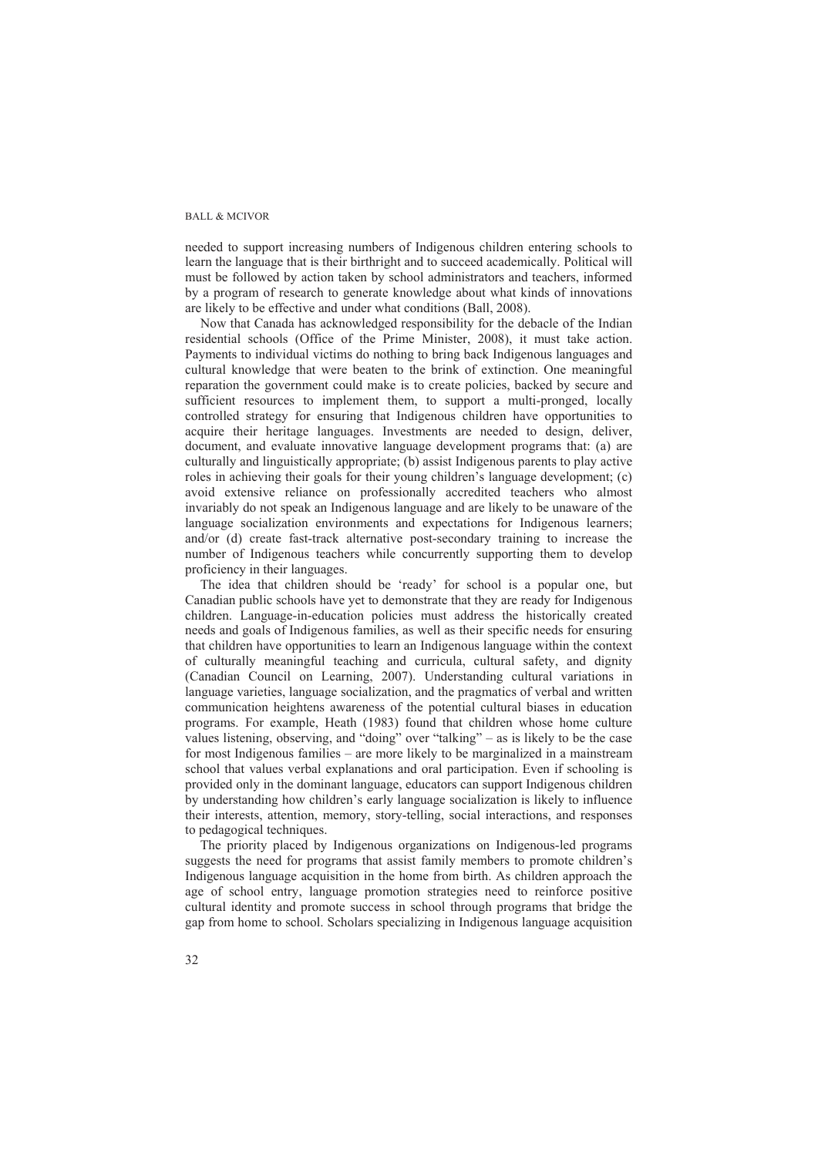needed to support increasing numbers of Indigenous children entering schools to learn the language that is their birthright and to succeed academically. Political will must be followed by action taken by school administrators and teachers, informed by a program of research to generate knowledge about what kinds of innovations are likely to be effective and under what conditions (Ball, 2008).

 Now that Canada has acknowledged responsibility for the debacle of the Indian residential schools (Office of the Prime Minister, 2008), it must take action. Payments to individual victims do nothing to bring back Indigenous languages and cultural knowledge that were beaten to the brink of extinction. One meaningful reparation the government could make is to create policies, backed by secure and sufficient resources to implement them, to support a multi-pronged, locally controlled strategy for ensuring that Indigenous children have opportunities to acquire their heritage languages. Investments are needed to design, deliver, document, and evaluate innovative language development programs that: (a) are culturally and linguistically appropriate; (b) assist Indigenous parents to play active roles in achieving their goals for their young children's language development; (c) avoid extensive reliance on professionally accredited teachers who almost invariably do not speak an Indigenous language and are likely to be unaware of the language socialization environments and expectations for Indigenous learners; and/or (d) create fast-track alternative post-secondary training to increase the number of Indigenous teachers while concurrently supporting them to develop proficiency in their languages.

 The idea that children should be 'ready' for school is a popular one, but Canadian public schools have yet to demonstrate that they are ready for Indigenous children. Language-in-education policies must address the historically created needs and goals of Indigenous families, as well as their specific needs for ensuring that children have opportunities to learn an Indigenous language within the context of culturally meaningful teaching and curricula, cultural safety, and dignity (Canadian Council on Learning, 2007). Understanding cultural variations in language varieties, language socialization, and the pragmatics of verbal and written communication heightens awareness of the potential cultural biases in education programs. For example, Heath (1983) found that children whose home culture values listening, observing, and "doing" over "talking" – as is likely to be the case for most Indigenous families – are more likely to be marginalized in a mainstream school that values verbal explanations and oral participation. Even if schooling is provided only in the dominant language, educators can support Indigenous children by understanding how children's early language socialization is likely to influence their interests, attention, memory, story-telling, social interactions, and responses to pedagogical techniques.

 The priority placed by Indigenous organizations on Indigenous-led programs suggests the need for programs that assist family members to promote children's Indigenous language acquisition in the home from birth. As children approach the age of school entry, language promotion strategies need to reinforce positive cultural identity and promote success in school through programs that bridge the gap from home to school. Scholars specializing in Indigenous language acquisition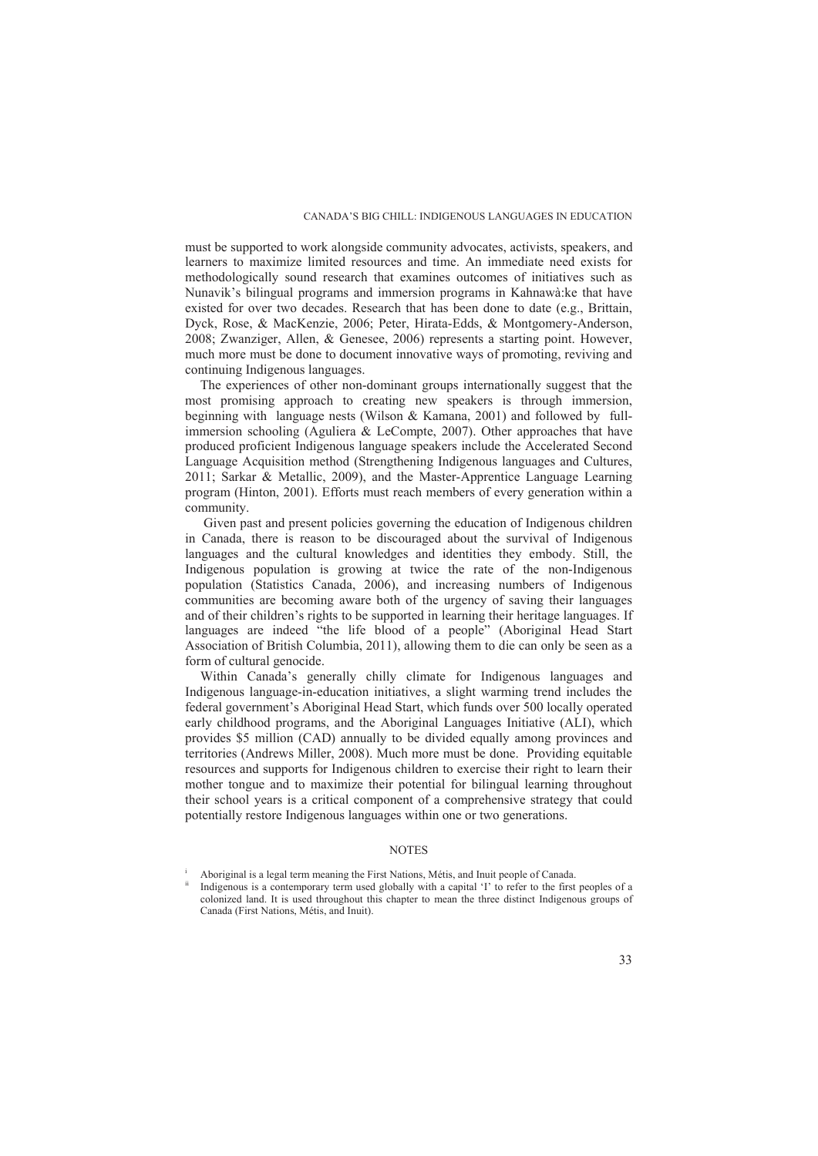must be supported to work alongside community advocates, activists, speakers, and learners to maximize limited resources and time. An immediate need exists for methodologically sound research that examines outcomes of initiatives such as Nunavik's bilingual programs and immersion programs in Kahnawà:ke that have existed for over two decades. Research that has been done to date (e.g., Brittain, Dyck, Rose, & MacKenzie, 2006; Peter, Hirata-Edds, & Montgomery-Anderson, 2008; Zwanziger, Allen, & Genesee, 2006) represents a starting point. However, much more must be done to document innovative ways of promoting, reviving and continuing Indigenous languages.

 The experiences of other non-dominant groups internationally suggest that the most promising approach to creating new speakers is through immersion, beginning with language nests (Wilson & Kamana, 2001) and followed by fullimmersion schooling (Aguliera & LeCompte, 2007). Other approaches that have produced proficient Indigenous language speakers include the Accelerated Second Language Acquisition method (Strengthening Indigenous languages and Cultures, 2011; Sarkar & Metallic, 2009), and the Master-Apprentice Language Learning program (Hinton, 2001). Efforts must reach members of every generation within a community.

 Given past and present policies governing the education of Indigenous children in Canada, there is reason to be discouraged about the survival of Indigenous languages and the cultural knowledges and identities they embody. Still, the Indigenous population is growing at twice the rate of the non-Indigenous population (Statistics Canada, 2006), and increasing numbers of Indigenous communities are becoming aware both of the urgency of saving their languages and of their children's rights to be supported in learning their heritage languages. If languages are indeed "the life blood of a people" (Aboriginal Head Start Association of British Columbia, 2011), allowing them to die can only be seen as a form of cultural genocide.

 Within Canada's generally chilly climate for Indigenous languages and Indigenous language-in-education initiatives, a slight warming trend includes the federal government's Aboriginal Head Start, which funds over 500 locally operated early childhood programs, and the Aboriginal Languages Initiative (ALI), which provides \$5 million (CAD) annually to be divided equally among provinces and territories (Andrews Miller, 2008). Much more must be done. Providing equitable resources and supports for Indigenous children to exercise their right to learn their mother tongue and to maximize their potential for bilingual learning throughout their school years is a critical component of a comprehensive strategy that could potentially restore Indigenous languages within one or two generations.

#### **NOTES**

i

Aboriginal is a legal term meaning the First Nations, Métis, and Inuit people of Canada.<br>Indigenous is a contemporary term used globally with a capital 'I' to refer to the first peoples of a colonized land. It is used throughout this chapter to mean the three distinct Indigenous groups of Canada (First Nations, Métis, and Inuit).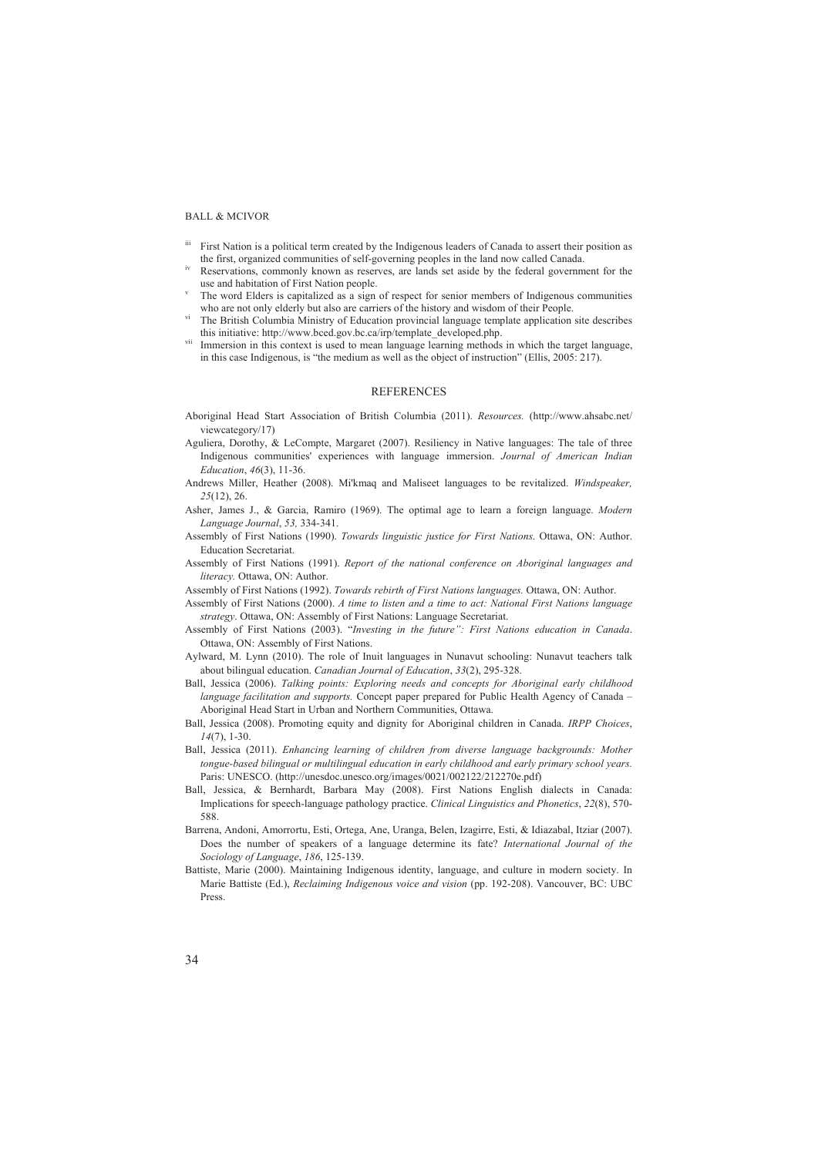- First Nation is a political term created by the Indigenous leaders of Canada to assert their position as the first, organized communities of self-governing peoples in the land now called Canada.<br>Reservations, commonly known as reserves, are lands set aside by the federal government for the
- use and habitation of First Nation people.
- The word Elders is capitalized as a sign of respect for senior members of Indigenous communities
- who are not only elderly but also are carriers of the history and wisdom of their People.<br>The British Columbia Ministry of Education provincial language template application site describes<br>this initiative: http://www.bced.
- $\frac{1}{\pi}$  in Immersion in this context is used to mean language learning methods in which the target language, in this case Indigenous, is "the medium as well as the object of instruction" (Ellis, 2005: 217).

#### **REFERENCES**

- Aboriginal Head Start Association of British Columbia (2011). *Resources.* (http://www.ahsabc.net/ viewcategory/17)
- Aguliera, Dorothy, & LeCompte, Margaret (2007). Resiliency in Native languages: The tale of three Indigenous communities' experiences with language immersion. *Journal of American Indian Education*, *46*(3), 11-36.
- Andrews Miller, Heather (2008). Mi'kmaq and Maliseet languages to be revitalized. *Windspeaker, 25*(12), 26.
- Asher, James J., & Garcia, Ramiro (1969). The optimal age to learn a foreign language. *Modern Language Journal*, *53,* 334-341.
- Assembly of First Nations (1990). *Towards linguistic justice for First Nations*. Ottawa, ON: Author. Education Secretariat.
- Assembly of First Nations (1991). *Report of the national conference on Aboriginal languages and literacy.* Ottawa, ON: Author.
- Assembly of First Nations (1992). *Towards rebirth of First Nations languages.* Ottawa, ON: Author.
- Assembly of First Nations (2000). *A time to listen and a time to act: National First Nations language strategy*. Ottawa, ON: Assembly of First Nations: Language Secretariat.
- Assembly of First Nations (2003). "*Investing in the future": First Nations education in Canada*. Ottawa, ON: Assembly of First Nations.
- Aylward, M. Lynn (2010). The role of Inuit languages in Nunavut schooling: Nunavut teachers talk about bilingual education. *Canadian Journal of Education*, *33*(2), 295-328.
- Ball, Jessica (2006). *Talking points: Exploring needs and concepts for Aboriginal early childhood language facilitation and supports.* Concept paper prepared for Public Health Agency of Canada – Aboriginal Head Start in Urban and Northern Communities, Ottawa.
- Ball, Jessica (2008). Promoting equity and dignity for Aboriginal children in Canada. *IRPP Choices*, *14*(7), 1-30.
- Ball, Jessica (2011). *Enhancing learning of children from diverse language backgrounds: Mother tongue-based bilingual or multilingual education in early childhood and early primary school years.* Paris: UNESCO. (http://unesdoc.unesco.org/images/0021/002122/212270e.pdf)
- Ball, Jessica, & Bernhardt, Barbara May (2008). First Nations English dialects in Canada: Implications for speech-language pathology practice. *Clinical Linguistics and Phonetics*, *22*(8), 570- 588.
- Barrena, Andoni, Amorrortu, Esti, Ortega, Ane, Uranga, Belen, Izagirre, Esti, & Idiazabal, Itziar (2007). Does the number of speakers of a language determine its fate? *International Journal of the Sociology of Language*, *186*, 125-139.
- Battiste, Marie (2000). Maintaining Indigenous identity, language, and culture in modern society. In Marie Battiste (Ed.), *Reclaiming Indigenous voice and vision* (pp. 192-208). Vancouver, BC: UBC Press.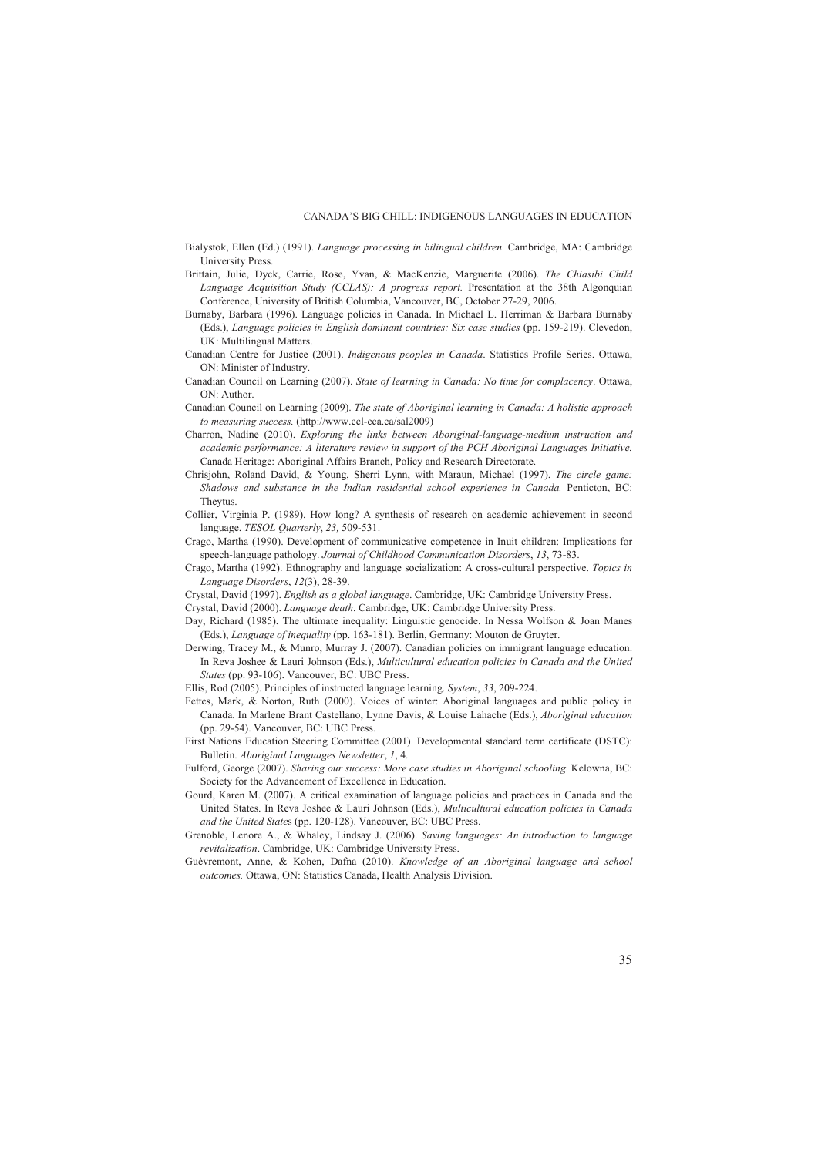- Bialystok, Ellen (Ed.) (1991). *Language processing in bilingual children.* Cambridge, MA: Cambridge University Press.
- Brittain, Julie, Dyck, Carrie, Rose, Yvan, & MacKenzie, Marguerite (2006). *The Chiasibi Child Language Acquisition Study (CCLAS): A progress report.* Presentation at the 38th Algonquian Conference, University of British Columbia, Vancouver, BC, October 27-29, 2006.
- Burnaby, Barbara (1996). Language policies in Canada. In Michael L. Herriman & Barbara Burnaby (Eds.), *Language policies in English dominant countries: Six case studies* (pp. 159-219). Clevedon, UK: Multilingual Matters.
- Canadian Centre for Justice (2001). *Indigenous peoples in Canada*. Statistics Profile Series. Ottawa, ON: Minister of Industry.
- Canadian Council on Learning (2007). *State of learning in Canada: No time for complacency*. Ottawa, ON: Author.
- Canadian Council on Learning (2009). *The state of Aboriginal learning in Canada: A holistic approach to measuring success.* (http://www.ccl-cca.ca/sal2009)
- Charron, Nadine (2010). *Exploring the links between Aboriginal-language-medium instruction and academic performance: A literature review in support of the PCH Aboriginal Languages Initiative.*  Canada Heritage: Aboriginal Affairs Branch, Policy and Research Directorate.
- Chrisjohn, Roland David, & Young, Sherri Lynn, with Maraun, Michael (1997). *The circle game: Shadows and substance in the Indian residential school experience in Canada.* Penticton, BC: Theytus.
- Collier, Virginia P. (1989). How long? A synthesis of research on academic achievement in second language. *TESOL Quarterly*, *23,* 509-531.
- Crago, Martha (1990). Development of communicative competence in Inuit children: Implications for speech-language pathology. *Journal of Childhood Communication Disorders*, *13*, 73-83.
- Crago, Martha (1992). Ethnography and language socialization: A cross-cultural perspective. *Topics in Language Disorders*, *12*(3), 28-39.
- Crystal, David (1997). *English as a global language*. Cambridge, UK: Cambridge University Press.
- Crystal, David (2000). *Language death*. Cambridge, UK: Cambridge University Press.
- Day, Richard (1985). The ultimate inequality: Linguistic genocide. In Nessa Wolfson & Joan Manes (Eds.), *Language of inequality* (pp. 163-181). Berlin, Germany: Mouton de Gruyter.
- Derwing, Tracey M., & Munro, Murray J. (2007). Canadian policies on immigrant language education. In Reva Joshee & Lauri Johnson (Eds.), *Multicultural education policies in Canada and the United States* (pp. 93-106). Vancouver, BC: UBC Press.
- Ellis, Rod (2005). Principles of instructed language learning. *System*, *33*, 209-224.
- Fettes, Mark, & Norton, Ruth (2000). Voices of winter: Aboriginal languages and public policy in Canada. In Marlene Brant Castellano, Lynne Davis, & Louise Lahache (Eds.), *Aboriginal education* (pp. 29-54). Vancouver, BC: UBC Press.
- First Nations Education Steering Committee (2001). Developmental standard term certificate (DSTC): Bulletin. *Aboriginal Languages Newsletter*, *1*, 4.
- Fulford, George (2007). *Sharing our success: More case studies in Aboriginal schooling.* Kelowna, BC: Society for the Advancement of Excellence in Education.
- Gourd, Karen M. (2007). A critical examination of language policies and practices in Canada and the United States. In Reva Joshee & Lauri Johnson (Eds.), *Multicultural education policies in Canada and the United State*s (pp. 120-128). Vancouver, BC: UBC Press.
- Grenoble, Lenore A., & Whaley, Lindsay J. (2006). *Saving languages: An introduction to language revitalization*. Cambridge, UK: Cambridge University Press.
- Guèvremont, Anne, & Kohen, Dafna (2010). *Knowledge of an Aboriginal language and school outcomes.* Ottawa, ON: Statistics Canada, Health Analysis Division.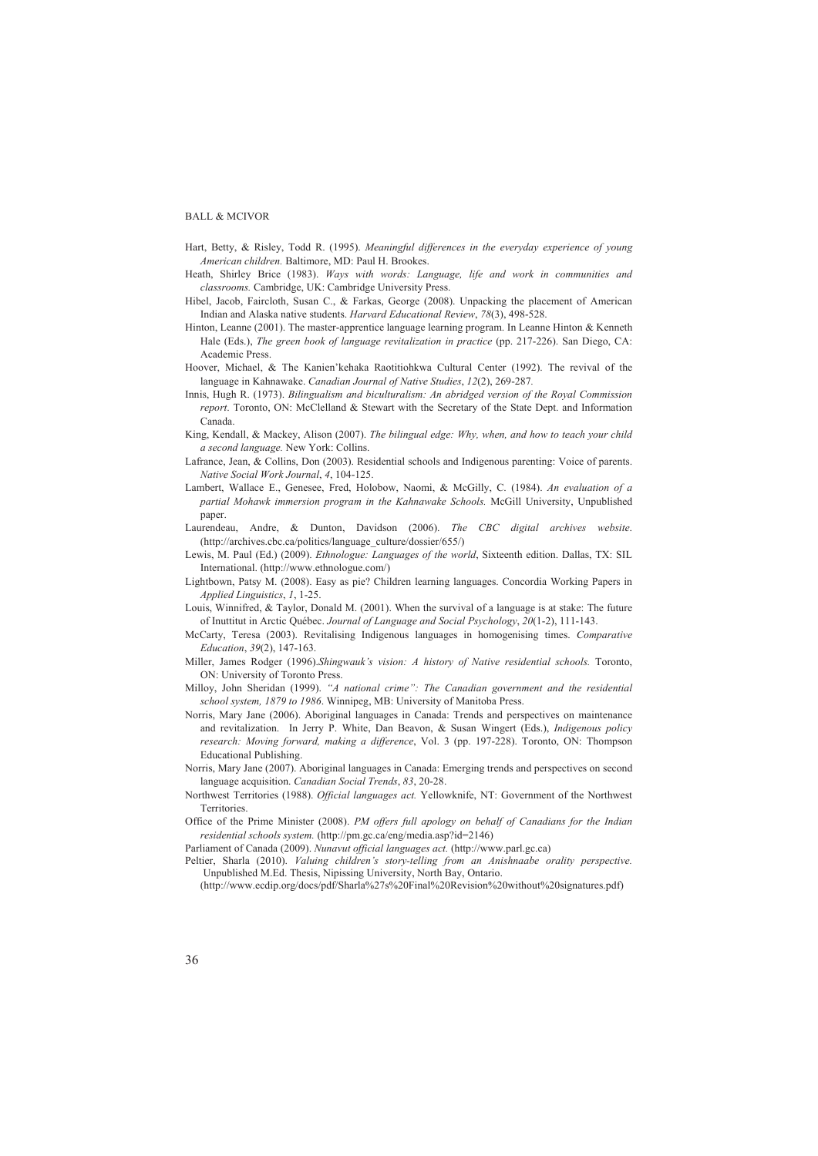- Hart, Betty, & Risley, Todd R. (1995). *Meaningful differences in the everyday experience of young American children.* Baltimore, MD: Paul H. Brookes.
- Heath, Shirley Brice (1983). *Ways with words: Language, life and work in communities and classrooms.* Cambridge, UK: Cambridge University Press.
- Hibel, Jacob, Faircloth, Susan C., & Farkas, George (2008). Unpacking the placement of American Indian and Alaska native students. *Harvard Educational Review*, *78*(3), 498-528.
- Hinton, Leanne (2001). The master-apprentice language learning program. In Leanne Hinton & Kenneth Hale (Eds.), *The green book of language revitalization in practice* (pp. 217-226). San Diego, CA: Academic Press.
- Hoover, Michael, & The Kanien'kehaka Raotitiohkwa Cultural Center (1992). The revival of the language in Kahnawake. *Canadian Journal of Native Studies*, *12*(2), 269-287*.*
- Innis, Hugh R. (1973). *Bilingualism and biculturalism: An abridged version of the Royal Commission report*. Toronto, ON: McClelland & Stewart with the Secretary of the State Dept. and Information Canada.
- King, Kendall, & Mackey, Alison (2007). *The bilingual edge: Why, when, and how to teach your child a second language.* New York: Collins.
- Lafrance, Jean, & Collins, Don (2003). Residential schools and Indigenous parenting: Voice of parents. *Native Social Work Journal*, *4*, 104-125.
- Lambert, Wallace E., Genesee, Fred, Holobow, Naomi, & McGilly, C. (1984). *An evaluation of a partial Mohawk immersion program in the Kahnawake Schools.* McGill University, Unpublished paper.
- Laurendeau, Andre, & Dunton, Davidson (2006). *The CBC digital archives website*. (http://archives.cbc.ca/politics/language\_culture/dossier/655/)
- Lewis, M. Paul (Ed.) (2009). *Ethnologue: Languages of the world*, Sixteenth edition. Dallas, TX: SIL International. (http://www.ethnologue.com/)
- Lightbown, Patsy M. (2008). Easy as pie? Children learning languages. Concordia Working Papers in *Applied Linguistics*, *1*, 1-25.
- Louis, Winnifred, & Taylor, Donald M. (2001). When the survival of a language is at stake: The future of Inuttitut in Arctic Québec. *Journal of Language and Social Psychology*, *20*(1-2), 111-143.
- McCarty, Teresa (2003). Revitalising Indigenous languages in homogenising times. *Comparative Education*, *39*(2), 147-163.
- Miller, James Rodger (1996).*Shingwauk's vision: A history of Native residential schools.* Toronto, ON: University of Toronto Press.
- Milloy, John Sheridan (1999). *"A national crime": The Canadian government and the residential school system, 1879 to 1986*. Winnipeg, MB: University of Manitoba Press.
- Norris, Mary Jane (2006). Aboriginal languages in Canada: Trends and perspectives on maintenance and revitalization. In Jerry P. White, Dan Beavon, & Susan Wingert (Eds.), *Indigenous policy research: Moving forward, making a difference*, Vol. 3 (pp. 197-228). Toronto, ON: Thompson Educational Publishing.
- Norris, Mary Jane (2007). Aboriginal languages in Canada: Emerging trends and perspectives on second language acquisition. *Canadian Social Trends*, *83*, 20-28.
- Northwest Territories (1988). *Official languages act.* Yellowknife, NT: Government of the Northwest Territories.
- Office of the Prime Minister (2008). *PM offers full apology on behalf of Canadians for the Indian residential schools system.* (http://pm.gc.ca/eng/media.asp?id=2146)
- Parliament of Canada (2009). *Nunavut official languages act.* (http://www.parl.gc.ca)
- Peltier, Sharla (2010). *Valuing children's story-telling from an Anishnaabe orality perspective.*  Unpublished M.Ed. Thesis, Nipissing University, North Bay, Ontario.

(http://www.ecdip.org/docs/pdf/Sharla%27s%20Final%20Revision%20without%20signatures.pdf)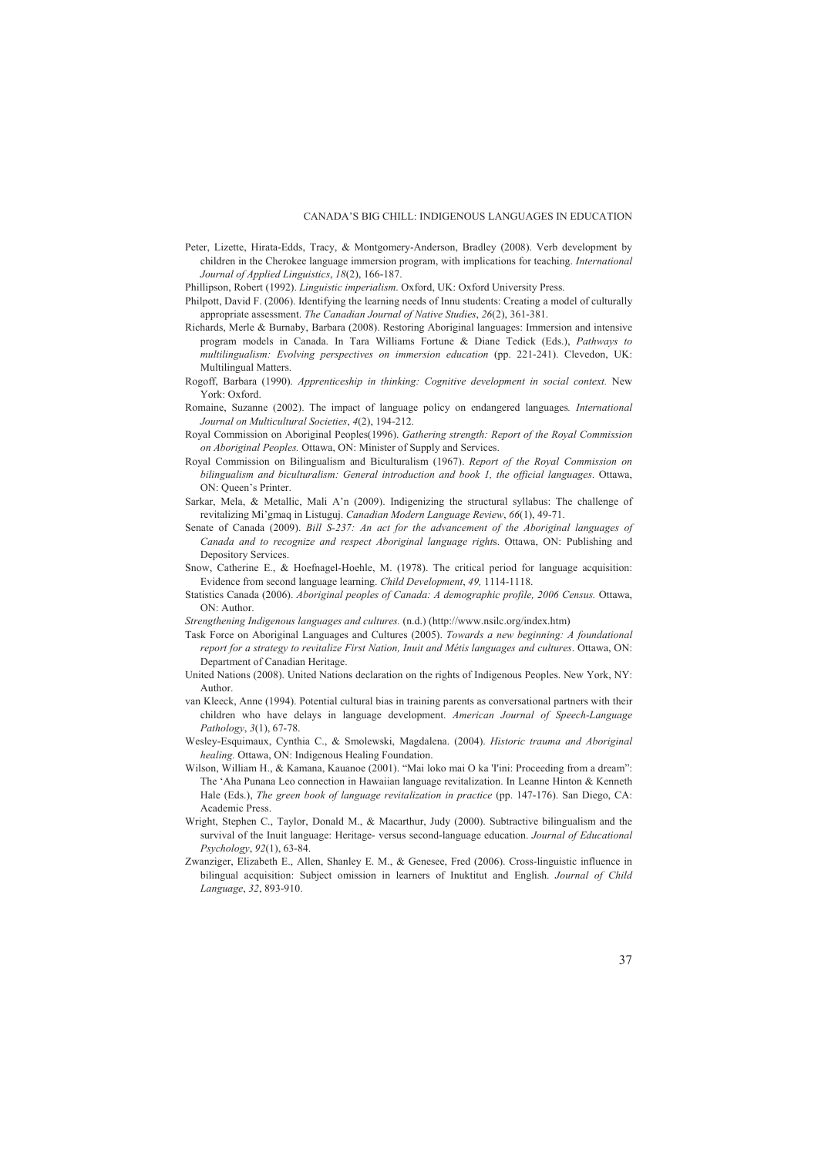Peter, Lizette, Hirata-Edds, Tracy, & Montgomery-Anderson, Bradley (2008). Verb development by children in the Cherokee language immersion program, with implications for teaching. *International Journal of Applied Linguistics*, *18*(2), 166-187.

Phillipson, Robert (1992). *Linguistic imperialism*. Oxford, UK: Oxford University Press.

- Philpott, David F. (2006). Identifying the learning needs of Innu students: Creating a model of culturally appropriate assessment. *The Canadian Journal of Native Studies*, *26*(2), 361-381.
- Richards, Merle & Burnaby, Barbara (2008). Restoring Aboriginal languages: Immersion and intensive program models in Canada. In Tara Williams Fortune & Diane Tedick (Eds.), *Pathways to multilingualism: Evolving perspectives on immersion education* (pp. 221-241). Clevedon, UK: Multilingual Matters.
- Rogoff, Barbara (1990). *Apprenticeship in thinking: Cognitive development in social context.* New York: Oxford.
- Romaine, Suzanne (2002). The impact of language policy on endangered languages*. International Journal on Multicultural Societies*, *4*(2), 194-212.
- Royal Commission on Aboriginal Peoples(1996). *Gathering strength: Report of the Royal Commission on Aboriginal Peoples.* Ottawa, ON: Minister of Supply and Services.
- Royal Commission on Bilingualism and Biculturalism (1967). *Report of the Royal Commission on bilingualism and biculturalism: General introduction and book 1, the official languages*. Ottawa, ON: Queen's Printer.
- Sarkar, Mela, & Metallic, Mali A'n (2009). Indigenizing the structural syllabus: The challenge of revitalizing Mi'gmaq in Listuguj. *Canadian Modern Language Review*, *66*(1), 49-71.
- Senate of Canada (2009). *Bill S-237: An act for the advancement of the Aboriginal languages of Canada and to recognize and respect Aboriginal language right*s. Ottawa, ON: Publishing and Depository Services.
- Snow, Catherine E., & Hoefnagel-Hoehle, M. (1978). The critical period for language acquisition: Evidence from second language learning. *Child Development*, *49,* 1114-1118.
- Statistics Canada (2006). *Aboriginal peoples of Canada: A demographic profile, 2006 Census.* Ottawa, ON: Author.
- *Strengthening Indigenous languages and cultures.* (n.d.) (http://www.nsilc.org/index.htm)
- Task Force on Aboriginal Languages and Cultures (2005). *Towards a new beginning: A foundational report for a strategy to revitalize First Nation, Inuit and Métis languages and cultures*. Ottawa, ON: Department of Canadian Heritage.
- United Nations (2008). United Nations declaration on the rights of Indigenous Peoples. New York, NY: Author.
- van Kleeck, Anne (1994). Potential cultural bias in training parents as conversational partners with their children who have delays in language development. *American Journal of Speech-Language Pathology*, *3*(1), 67-78.
- Wesley-Esquimaux, Cynthia C., & Smolewski, Magdalena. (2004). *Historic trauma and Aboriginal healing.* Ottawa, ON: Indigenous Healing Foundation.
- Wilson, William H., & Kamana, Kauanoe (2001). "Mai loko mai O ka 'I'ini: Proceeding from a dream": The 'Aha Punana Leo connection in Hawaiian language revitalization. In Leanne Hinton & Kenneth Hale (Eds.), *The green book of language revitalization in practice* (pp. 147-176). San Diego, CA: Academic Press.
- Wright, Stephen C., Taylor, Donald M., & Macarthur, Judy (2000). Subtractive bilingualism and the survival of the Inuit language: Heritage- versus second-language education. *Journal of Educational Psychology*, *92*(1), 63-84.
- Zwanziger, Elizabeth E., Allen, Shanley E. M., & Genesee, Fred (2006). Cross-linguistic influence in bilingual acquisition: Subject omission in learners of Inuktitut and English. *Journal of Child Language*, *32*, 893-910.